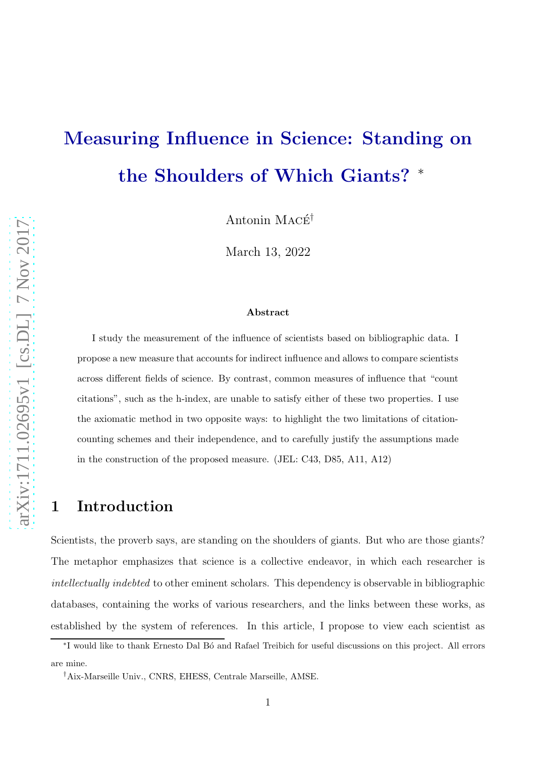# Measuring Influence in Science: Standing on the Shoulders of Which Giants?

Antonin Mac $\acute{\rm e}^{\dag}$ 

March 13, 2022

#### Abstract

I study the measurement of the influence of scientists based on bibliographic data. I propose a new measure that accounts for indirect influence and allows to compare scientists across different fields of science. By contrast, common measures of influence that "count citations", such as the h-index, are unable to satisfy either of these two properties. I use the axiomatic method in two opposite ways: to highlight the two limitations of citationcounting schemes and their independence, and to carefully justify the assumptions made in the construction of the proposed measure. (JEL: C43, D85, A11, A12)

## 1 Introduction

Scientists, the proverb says, are standing on the shoulders of giants. But who are those giants? The metaphor emphasizes that science is a collective endeavor, in which each researcher is *intellectually indebted* to other eminent scholars. This dependency is observable in bibliographic databases, containing the works of various researchers, and the links between these works, as established by the system of references. In this article, I propose to view each scientist as

<sup>∗</sup> I would like to thank Ernesto Dal B´o and Rafael Treibich for useful discussions on this project. All errors are mine.

<sup>†</sup>Aix-Marseille Univ., CNRS, EHESS, Centrale Marseille, AMSE.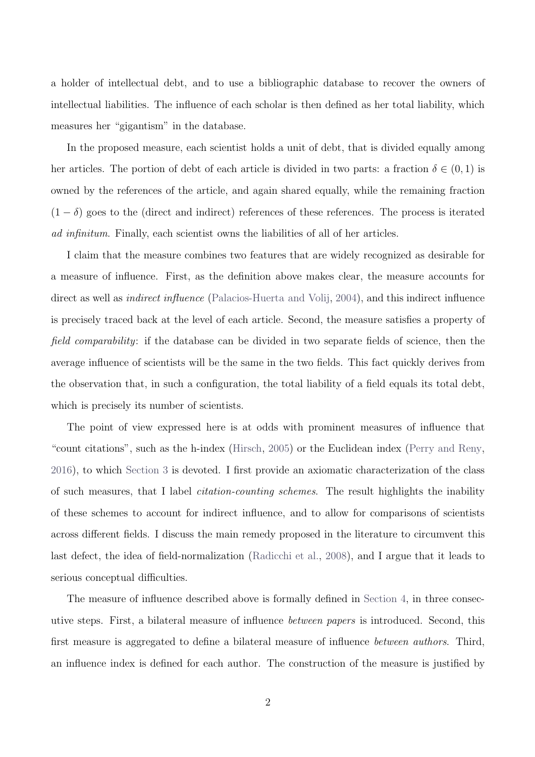a holder of intellectual debt, and to use a bibliographic database to recover the owners of intellectual liabilities. The influence of each scholar is then defined as her total liability, which measures her "gigantism" in the database.

In the proposed measure, each scientist holds a unit of debt, that is divided equally among her articles. The portion of debt of each article is divided in two parts: a fraction  $\delta \in (0,1)$  is owned by the references of the article, and again shared equally, while the remaining fraction  $(1 - \delta)$  goes to the (direct and indirect) references of these references. The process is iterated *ad infinitum*. Finally, each scientist owns the liabilities of all of her articles.

I claim that the measure combines two features that are widely recognized as desirable for a measure of influence. First, as the definition above makes clear, the measure accounts for direct as well as *indirect influence* [\(Palacios-Huerta and Volij,](#page-29-0) [2004\)](#page-29-0), and this indirect influence is precisely traced back at the level of each article. Second, the measure satisfies a property of *field comparability*: if the database can be divided in two separate fields of science, then the average influence of scientists will be the same in the two fields. This fact quickly derives from the observation that, in such a configuration, the total liability of a field equals its total debt, which is precisely its number of scientists.

The point of view expressed here is at odds with prominent measures of influence that "count citations", such as the h-index [\(Hirsch](#page-29-1), [2005\)](#page-29-1) or the Euclidean index [\(Perry and Reny,](#page-29-2) [2016](#page-29-2)), to which [Section 3](#page-6-0) is devoted. I first provide an axiomatic characterization of the class of such measures, that I label *citation-counting schemes*. The result highlights the inability of these schemes to account for indirect influence, and to allow for comparisons of scientists across different fields. I discuss the main remedy proposed in the literature to circumvent this last defect, the idea of field-normalization [\(Radicchi et al.,](#page-29-3) [2008\)](#page-29-3), and I argue that it leads to serious conceptual difficulties.

The measure of influence described above is formally defined in [Section 4,](#page-12-0) in three consecutive steps. First, a bilateral measure of influence *between papers* is introduced. Second, this first measure is aggregated to define a bilateral measure of influence *between authors*. Third, an influence index is defined for each author. The construction of the measure is justified by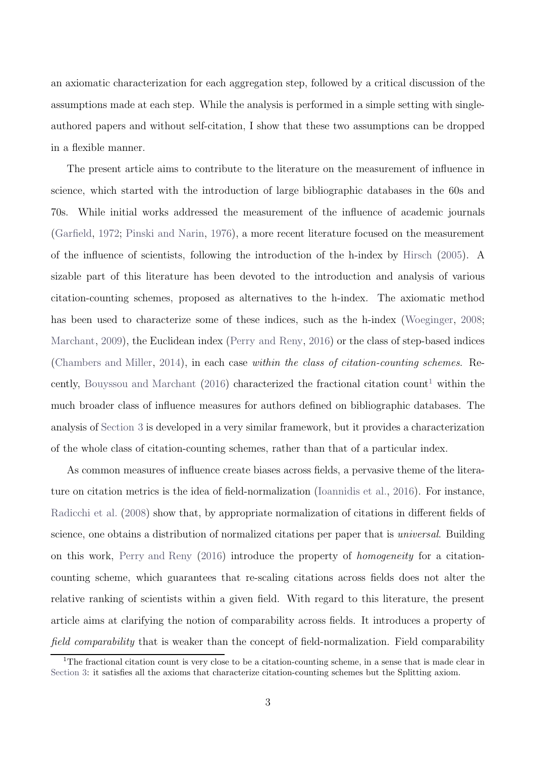an axiomatic characterization for each aggregation step, followed by a critical discussion of the assumptions made at each step. While the analysis is performed in a simple setting with singleauthored papers and without self-citation, I show that these two assumptions can be dropped in a flexible manner.

The present article aims to contribute to the literature on the measurement of influence in science, which started with the introduction of large bibliographic databases in the 60s and 70s. While initial works addressed the measurement of the influence of academic journals [\(Garfield](#page-29-4), [1972;](#page-29-4) [Pinski and Narin](#page-29-5), [1976\)](#page-29-5), a more recent literature focused on the measurement of the influence of scientists, following the introduction of the h-index by [Hirsch](#page-29-1) [\(2005\)](#page-29-1). A sizable part of this literature has been devoted to the introduction and analysis of various citation-counting schemes, proposed as alternatives to the h-index. The axiomatic method has been used to characterize some of these indices, such as the h-index [\(Woeginger](#page-30-0), [2008;](#page-30-0) [Marchant,](#page-29-6) [2009\)](#page-29-6), the Euclidean index [\(Perry and Reny,](#page-29-2) [2016\)](#page-29-2) or the class of step-based indices [\(Chambers and Miller](#page-28-0), [2014\)](#page-28-0), in each case *within the class of citation-counting schemes*. Re-cently, [Bouyssou and Marchant](#page-28-1) [\(2016\)](#page-28-1) characterized the fractional citation count<sup>1</sup> within the much broader class of influence measures for authors defined on bibliographic databases. The analysis of [Section 3](#page-6-0) is developed in a very similar framework, but it provides a characterization of the whole class of citation-counting schemes, rather than that of a particular index.

As common measures of influence create biases across fields, a pervasive theme of the literature on citation metrics is the idea of field-normalization [\(Ioannidis et al.](#page-29-7), [2016\)](#page-29-7). For instance, [Radicchi et al.](#page-29-3) [\(2008](#page-29-3)) show that, by appropriate normalization of citations in different fields of science, one obtains a distribution of normalized citations per paper that is *universal*. Building on this work, [Perry and Reny](#page-29-2) [\(2016\)](#page-29-2) introduce the property of *homogeneity* for a citationcounting scheme, which guarantees that re-scaling citations across fields does not alter the relative ranking of scientists within a given field. With regard to this literature, the present article aims at clarifying the notion of comparability across fields. It introduces a property of *field comparability* that is weaker than the concept of field-normalization. Field comparability

<sup>&</sup>lt;sup>1</sup>The fractional citation count is very close to be a citation-counting scheme, in a sense that is made clear in [Section 3:](#page-6-0) it satisfies all the axioms that characterize citation-counting schemes but the Splitting axiom.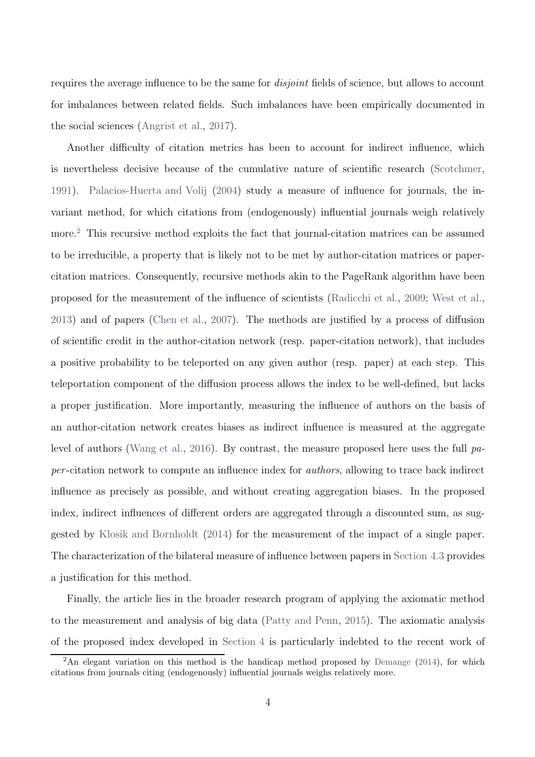requires the average influence to be the same for *disjoint* fields of science, but allows to account for imbalances between related fields. Such imbalances have been empirically documented in the social sciences [\(Angrist et al.](#page-28-2), [2017\)](#page-28-2).

Another difficulty of citation metrics has been to account for indirect influence, which is nevertheless decisive because of the cumulative nature of scientific research [\(Scotchmer,](#page-30-1) [1991](#page-30-1)). [Palacios-Huerta and Volij](#page-29-0) [\(2004\)](#page-29-0) study a measure of influence for journals, the invariant method, for which citations from (endogenously) influential journals weigh relatively more.<sup>2</sup> This recursive method exploits the fact that journal-citation matrices can be assumed to be irreducible, a property that is likely not to be met by author-citation matrices or papercitation matrices. Consequently, recursive methods akin to the PageRank algorithm have been proposed for the measurement of the influence of scientists [\(Radicchi et al.](#page-30-2), [2009](#page-30-2); [West et al.,](#page-30-3) [2013](#page-30-3)) and of papers [\(Chen et al.,](#page-28-3) [2007](#page-28-3)). The methods are justified by a process of diffusion of scientific credit in the author-citation network (resp. paper-citation network), that includes a positive probability to be teleported on any given author (resp. paper) at each step. This teleportation component of the diffusion process allows the index to be well-defined, but lacks a proper justification. More importantly, measuring the influence of authors on the basis of an author-citation network creates biases as indirect influence is measured at the aggregate level of authors [\(Wang et al.,](#page-30-4) [2016](#page-30-4)). By contrast, the measure proposed here uses the full *paper* -citation network to compute an influence index for *authors*, allowing to trace back indirect influence as precisely as possible, and without creating aggregation biases. In the proposed index, indirect influences of different orders are aggregated through a discounted sum, as suggested by [Klosik and Bornholdt](#page-29-8) [\(2014\)](#page-29-8) for the measurement of the impact of a single paper. The characterization of the bilateral measure of influence between papers in [Section 4.3](#page-15-0) provides a justification for this method.

Finally, the article lies in the broader research program of applying the axiomatic method to the measurement and analysis of big data [\(Patty and Penn](#page-29-9), [2015](#page-29-9)). The axiomatic analysis of the proposed index developed in [Section 4](#page-12-0) is particularly indebted to the recent work of

<sup>&</sup>lt;sup>2</sup>An elegant variation on this method is the handicap method proposed by [Demange](#page-29-10) [\(2014\)](#page-29-10), for which citations from journals citing (endogenously) influential journals weighs relatively more.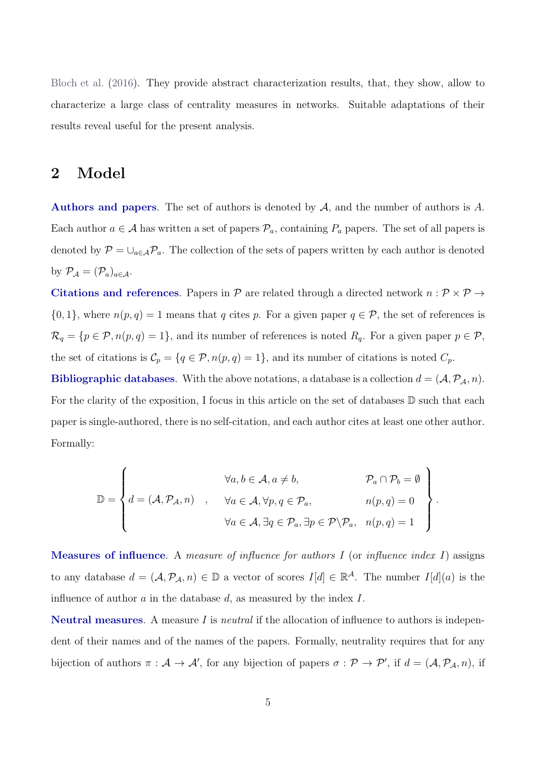[Bloch et al.](#page-28-4) [\(2016](#page-28-4)). They provide abstract characterization results, that, they show, allow to characterize a large class of centrality measures in networks. Suitable adaptations of their results reveal useful for the present analysis.

## 2 Model

Authors and papers. The set of authors is denoted by  $A$ , and the number of authors is  $A$ . Each author  $a \in \mathcal{A}$  has written a set of papers  $\mathcal{P}_a$ , containing  $P_a$  papers. The set of all papers is denoted by  $\mathcal{P} = \bigcup_{a \in \mathcal{A}} \mathcal{P}_a$ . The collection of the sets of papers written by each author is denoted by  $\mathcal{P}_{\mathcal{A}} = (\mathcal{P}_{a})_{a \in \mathcal{A}}$ .

Citations and references. Papers in  $P$  are related through a directed network  $n : P \times P \rightarrow$  $\{0,1\}$ , where  $n(p,q) = 1$  means that q cites p. For a given paper  $q \in \mathcal{P}$ , the set of references is  $\mathcal{R}_q = \{p \in \mathcal{P}, n(p,q) = 1\}$ , and its number of references is noted  $R_q$ . For a given paper  $p \in \mathcal{P}$ , the set of citations is  $C_p = \{q \in \mathcal{P}, n(p,q) = 1\}$ , and its number of citations is noted  $C_p$ .

**Bibliographic databases**. With the above notations, a database is a collection  $d = (\mathcal{A}, \mathcal{P}_{\mathcal{A}}, n)$ . For the clarity of the exposition, I focus in this article on the set of databases  $\mathbb D$  such that each paper is single-authored, there is no self-citation, and each author cites at least one other author. Formally:

$$
\mathbb{D} = \left\{ d = (\mathcal{A}, \mathcal{P}_{\mathcal{A}}, n) , \quad \forall a \in \mathcal{A}, \forall p, q \in \mathcal{P}_{a}, \quad \mathcal{P}_{a} \cap \mathcal{P}_{b} = \emptyset \right\}.
$$
  

$$
\forall a \in \mathcal{A}, \forall p, q \in \mathcal{P}_{a}, \quad n(p, q) = 0
$$
  

$$
\forall a \in \mathcal{A}, \exists q \in \mathcal{P}_{a}, \exists p \in \mathcal{P} \setminus \mathcal{P}_{a}, n(p, q) = 1 \right\}.
$$

Measures of influence. A *measure of influence for authors* I (or *influence index* I) assigns to any database  $d = (\mathcal{A}, \mathcal{P}_{\mathcal{A}}, n) \in \mathbb{D}$  a vector of scores  $I[d] \in \mathbb{R}^{\mathcal{A}}$ . The number  $I[d](a)$  is the influence of author  $a$  in the database  $d$ , as measured by the index  $I$ .

Neutral measures. A measure I is *neutral* if the allocation of influence to authors is independent of their names and of the names of the papers. Formally, neutrality requires that for any bijection of authors  $\pi : A \to A'$ , for any bijection of papers  $\sigma : \mathcal{P} \to \mathcal{P}'$ , if  $d = (A, \mathcal{P}_A, n)$ , if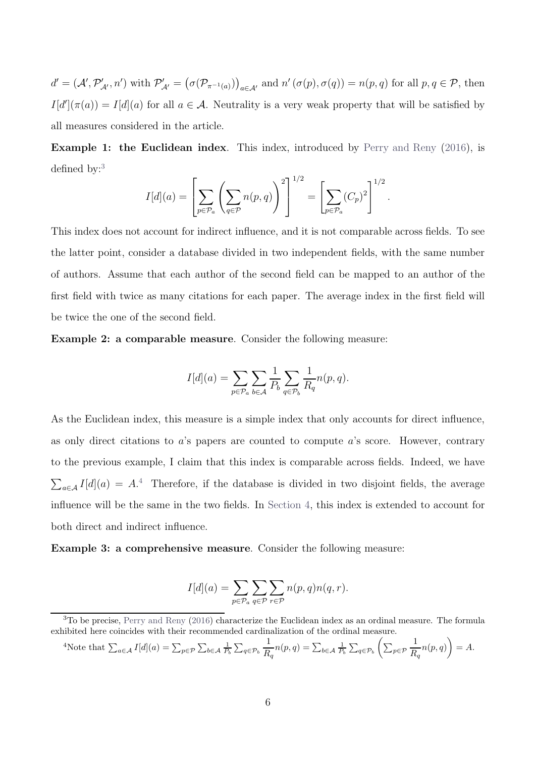$d' = (\mathcal{A}', \mathcal{P}'_{\mathcal{A}'}, n')$  with  $\mathcal{P}'_{\mathcal{A}'} = (\sigma(\mathcal{P}_{\pi^{-1}(a)})_{a \in \mathcal{A}'}$  and  $n'(\sigma(p), \sigma(q)) = n(p, q)$  for all  $p, q \in \mathcal{P}$ , then  $I[d'](\pi(a)) = I[d](a)$  for all  $a \in \mathcal{A}$ . Neutrality is a very weak property that will be satisfied by all measures considered in the article.

Example 1: the Euclidean index. This index, introduced by [Perry and Reny](#page-29-2) [\(2016](#page-29-2)), is defined by:<sup>3</sup>

$$
I[d](a) = \left[\sum_{p \in \mathcal{P}_a} \left(\sum_{q \in \mathcal{P}} n(p,q)\right)^2\right]^{1/2} = \left[\sum_{p \in \mathcal{P}_a} (C_p)^2\right]^{1/2}.
$$

This index does not account for indirect influence, and it is not comparable across fields. To see the latter point, consider a database divided in two independent fields, with the same number of authors. Assume that each author of the second field can be mapped to an author of the first field with twice as many citations for each paper. The average index in the first field will be twice the one of the second field.

Example 2: a comparable measure. Consider the following measure:

$$
I[d](a) = \sum_{p \in \mathcal{P}_a} \sum_{b \in \mathcal{A}} \frac{1}{P_b} \sum_{q \in \mathcal{P}_b} \frac{1}{R_q} n(p, q).
$$

As the Euclidean index, this measure is a simple index that only accounts for direct influence, as only direct citations to a's papers are counted to compute a's score. However, contrary to the previous example, I claim that this index is comparable across fields. Indeed, we have  $\sum_{a \in \mathcal{A}} I[d](a) = A^4$  Therefore, if the database is divided in two disjoint fields, the average influence will be the same in the two fields. In [Section 4,](#page-12-0) this index is extended to account for both direct and indirect influence.

Example 3: a comprehensive measure. Consider the following measure:

$$
I[d](a) = \sum_{p \in \mathcal{P}_a} \sum_{q \in \mathcal{P}} \sum_{r \in \mathcal{P}} n(p,q)n(q,r).
$$

$$
{}^{4}\text{Note that }\sum_{a\in\mathcal{A}}I[d](a)=\sum_{p\in\mathcal{P}}\sum_{b\in\mathcal{A}}\frac{1}{P_b}\sum_{q\in\mathcal{P}_b}\frac{1}{R_q}n(p,q)=\sum_{b\in\mathcal{A}}\frac{1}{P_b}\sum_{q\in\mathcal{P}_b}\left(\sum_{p\in\mathcal{P}}\frac{1}{R_q}n(p,q)\right)=A.
$$

 $3$ To be precise, [Perry and Reny](#page-29-2) [\(2016\)](#page-29-2) characterize the Euclidean index as an ordinal measure. The formula exhibited here coincides with their recommended cardinalization of the ordinal measure.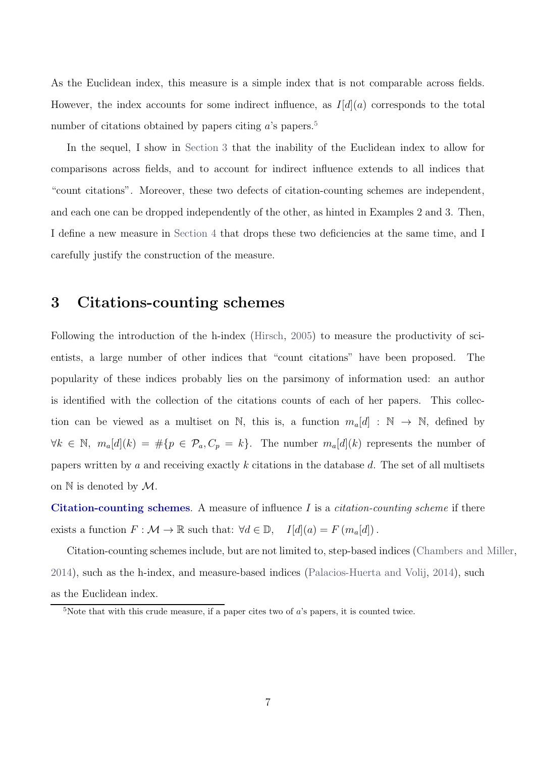As the Euclidean index, this measure is a simple index that is not comparable across fields. However, the index accounts for some indirect influence, as  $I[d](a)$  corresponds to the total number of citations obtained by papers citing  $a$ 's papers.<sup>5</sup>

In the sequel, I show in [Section 3](#page-6-0) that the inability of the Euclidean index to allow for comparisons across fields, and to account for indirect influence extends to all indices that "count citations". Moreover, these two defects of citation-counting schemes are independent, and each one can be dropped independently of the other, as hinted in Examples 2 and 3. Then, I define a new measure in [Section 4](#page-12-0) that drops these two deficiencies at the same time, and I carefully justify the construction of the measure.

## <span id="page-6-0"></span>3 Citations-counting schemes

Following the introduction of the h-index [\(Hirsch](#page-29-1), [2005](#page-29-1)) to measure the productivity of scientists, a large number of other indices that "count citations" have been proposed. The popularity of these indices probably lies on the parsimony of information used: an author is identified with the collection of the citations counts of each of her papers. This collection can be viewed as a multiset on N, this is, a function  $m_a[d] : N \to N$ , defined by  $\forall k \in \mathbb{N}, m_a[d](k) = \#\{p \in \mathcal{P}_a, C_p = k\}.$  The number  $m_a[d](k)$  represents the number of papers written by a and receiving exactly k citations in the database  $d$ . The set of all multisets on  $\mathbb N$  is denoted by  $\mathcal M$ .

Citation-counting schemes. A measure of influence I is a *citation-counting scheme* if there exists a function  $F : \mathcal{M} \to \mathbb{R}$  such that:  $\forall d \in \mathbb{D}, \quad I[d](a) = F(m_a[d])$ .

Citation-counting schemes include, but are not limited to, step-based indices [\(Chambers and Miller,](#page-28-0) [2014](#page-28-0)), such as the h-index, and measure-based indices [\(Palacios-Huerta and Volij](#page-29-11), [2014\)](#page-29-11), such as the Euclidean index.

<sup>&</sup>lt;sup>5</sup>Note that with this crude measure, if a paper cites two of  $a$ 's papers, it is counted twice.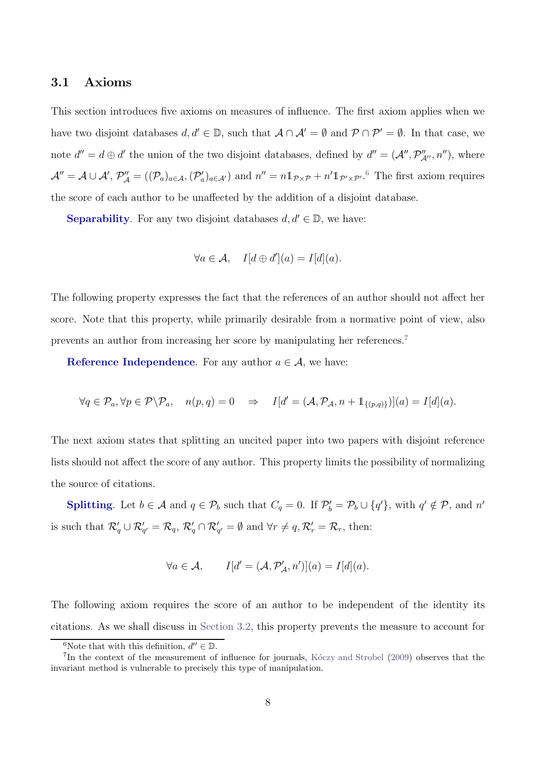#### 3.1 Axioms

This section introduces five axioms on measures of influence. The first axiom applies when we have two disjoint databases  $d, d' \in \mathbb{D}$ , such that  $A \cap A' = \emptyset$  and  $P \cap P' = \emptyset$ . In that case, we note  $d'' = d \oplus d'$  the union of the two disjoint databases, defined by  $d'' = (\mathcal{A}'', \mathcal{P}''_{\mathcal{A}''}, n'')$ , where  $\mathcal{A}''=\mathcal{A}\cup\mathcal{A}',\ \mathcal{P}''_{\mathcal{A}}=((\mathcal{P}_a)_{a\in\mathcal{A}},(\mathcal{P}'_a)_{a\in\mathcal{A}'})$  and  $n''=n1_{\mathcal{P}\times\mathcal{P}}+n'1_{\mathcal{P}'\times\mathcal{P}'}$ .<sup>6</sup> The first axiom requires the score of each author to be unaffected by the addition of a disjoint database.

**Separability**. For any two disjoint databases  $d, d' \in \mathbb{D}$ , we have:

$$
\forall a \in \mathcal{A}, \quad I[d \oplus d'](a) = I[d](a).
$$

The following property expresses the fact that the references of an author should not affect her score. Note that this property, while primarily desirable from a normative point of view, also prevents an author from increasing her score by manipulating her references.<sup>7</sup>

Reference Independence. For any author  $a \in \mathcal{A}$ , we have:

$$
\forall q \in \mathcal{P}_a, \forall p \in \mathcal{P} \setminus \mathcal{P}_a, \quad n(p, q) = 0 \quad \Rightarrow \quad I[d' = (\mathcal{A}, \mathcal{P}_\mathcal{A}, n + \mathbb{1}_{\{(p, q)\}})](a) = I[d](a).
$$

The next axiom states that splitting an uncited paper into two papers with disjoint reference lists should not affect the score of any author. This property limits the possibility of normalizing the source of citations.

**Splitting**. Let  $b \in \mathcal{A}$  and  $q \in \mathcal{P}_b$  such that  $C_q = 0$ . If  $\mathcal{P}'_b = \mathcal{P}_b \cup \{q'\}$ , with  $q' \notin \mathcal{P}$ , and  $n'$ is such that  $\mathcal{R}'_q \cup \mathcal{R}'_{q'} = \mathcal{R}_q$ ,  $\mathcal{R}'_q \cap \mathcal{R}'_{q'} = \emptyset$  and  $\forall r \neq q$ ,  $\mathcal{R}'_r = \mathcal{R}_r$ , then:

$$
\forall a \in \mathcal{A}, \qquad I[d' = (\mathcal{A}, \mathcal{P}'_{\mathcal{A}}, n')](a) = I[d](a).
$$

The following axiom requires the score of an author to be independent of the identity its citations. As we shall discuss in [Section 3.2,](#page-8-0) this property prevents the measure to account for

<sup>&</sup>lt;sup>6</sup>Note that with this definition,  $d'' \in \mathbb{D}$ .

<sup>&</sup>lt;sup>7</sup>In the context of the measurement of influence for journals, Koczy and Strobel [\(2009\)](#page-29-12) observes that the invariant method is vulnerable to precisely this type of manipulation.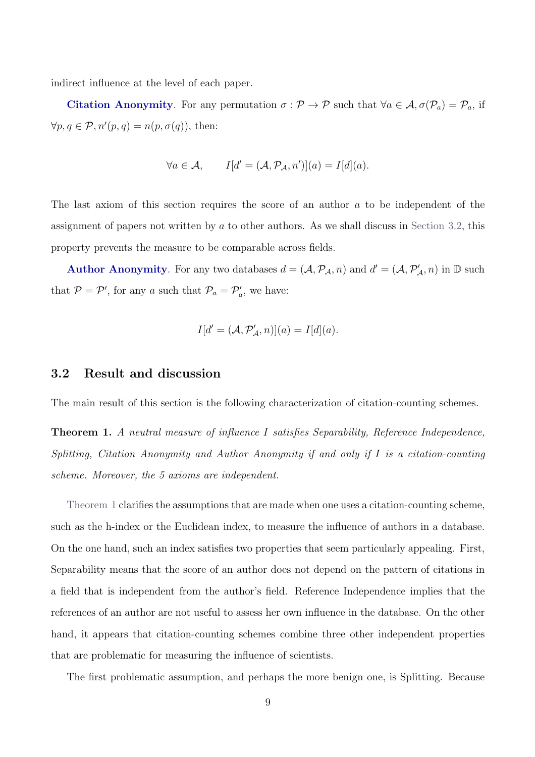indirect influence at the level of each paper.

Citation Anonymity. For any permutation  $\sigma : \mathcal{P} \to \mathcal{P}$  such that  $\forall a \in \mathcal{A}, \sigma(\mathcal{P}_a) = \mathcal{P}_a$ , if  $\forall p, q \in \mathcal{P}, n'(p,q) = n(p, \sigma(q)),$  then:

$$
\forall a \in \mathcal{A}, \qquad I[d' = (\mathcal{A}, \mathcal{P}_{\mathcal{A}}, n')] (a) = I[d](a).
$$

The last axiom of this section requires the score of an author a to be independent of the assignment of papers not written by  $\alpha$  to other authors. As we shall discuss in [Section 3.2,](#page-8-0) this property prevents the measure to be comparable across fields.

Author Anonymity. For any two databases  $d = (\mathcal{A}, \mathcal{P}_{\mathcal{A}}, n)$  and  $d' = (\mathcal{A}, \mathcal{P}'_{\mathcal{A}}, n)$  in  $\mathbb D$  such that  $P = P'$ , for any a such that  $P_a = P'_a$ , we have:

$$
I[d' = (\mathcal{A}, \mathcal{P}'_{\mathcal{A}}, n)](a) = I[d](a).
$$

#### <span id="page-8-0"></span>3.2 Result and discussion

The main result of this section is the following characterization of citation-counting schemes.

<span id="page-8-1"></span>Theorem 1. *A neutral measure of influence* I *satisfies Separability, Reference Independence, Splitting, Citation Anonymity and Author Anonymity if and only if* I *is a citation-counting scheme. Moreover, the 5 axioms are independent.*

[Theorem 1](#page-8-1) clarifies the assumptions that are made when one uses a citation-counting scheme, such as the h-index or the Euclidean index, to measure the influence of authors in a database. On the one hand, such an index satisfies two properties that seem particularly appealing. First, Separability means that the score of an author does not depend on the pattern of citations in a field that is independent from the author's field. Reference Independence implies that the references of an author are not useful to assess her own influence in the database. On the other hand, it appears that citation-counting schemes combine three other independent properties that are problematic for measuring the influence of scientists.

The first problematic assumption, and perhaps the more benign one, is Splitting. Because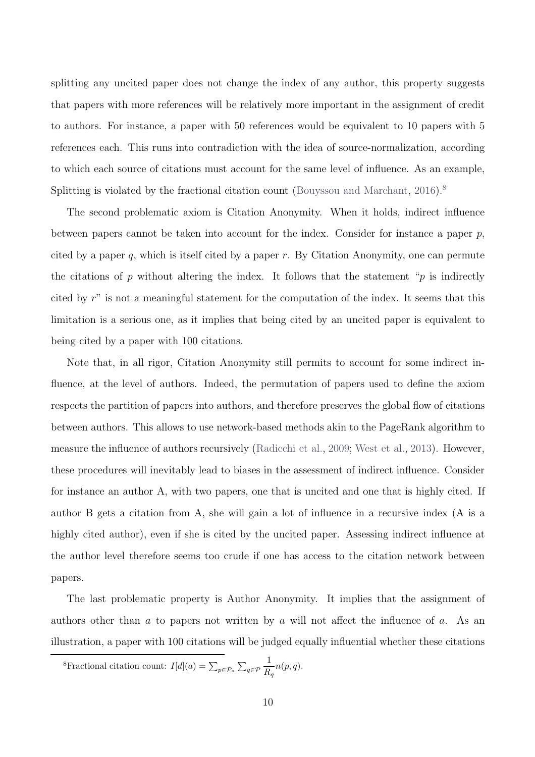splitting any uncited paper does not change the index of any author, this property suggests that papers with more references will be relatively more important in the assignment of credit to authors. For instance, a paper with 50 references would be equivalent to 10 papers with 5 references each. This runs into contradiction with the idea of source-normalization, according to which each source of citations must account for the same level of influence. As an example, Splitting is violated by the fractional citation count [\(Bouyssou and Marchant,](#page-28-1) [2016](#page-28-1)).<sup>8</sup>

The second problematic axiom is Citation Anonymity. When it holds, indirect influence between papers cannot be taken into account for the index. Consider for instance a paper  $p$ , cited by a paper  $q$ , which is itself cited by a paper  $r$ . By Citation Anonymity, one can permute the citations of p without altering the index. It follows that the statement "p is indirectly cited by r" is not a meaningful statement for the computation of the index. It seems that this limitation is a serious one, as it implies that being cited by an uncited paper is equivalent to being cited by a paper with 100 citations.

Note that, in all rigor, Citation Anonymity still permits to account for some indirect influence, at the level of authors. Indeed, the permutation of papers used to define the axiom respects the partition of papers into authors, and therefore preserves the global flow of citations between authors. This allows to use network-based methods akin to the PageRank algorithm to measure the influence of authors recursively [\(Radicchi et al.,](#page-30-2) [2009;](#page-30-2) [West et al.](#page-30-3), [2013](#page-30-3)). However, these procedures will inevitably lead to biases in the assessment of indirect influence. Consider for instance an author A, with two papers, one that is uncited and one that is highly cited. If author B gets a citation from A, she will gain a lot of influence in a recursive index (A is a highly cited author), even if she is cited by the uncited paper. Assessing indirect influence at the author level therefore seems too crude if one has access to the citation network between papers.

The last problematic property is Author Anonymity. It implies that the assignment of authors other than  $a$  to papers not written by  $a$  will not affect the influence of  $a$ . As an illustration, a paper with 100 citations will be judged equally influential whether these citations

<sup>8</sup>Fractional citation count:  $I[d](a) = \sum_{p \in \mathcal{P}_a} \sum_{q \in \mathcal{P}_a}$ 1  $\frac{1}{R_q}n(p,q).$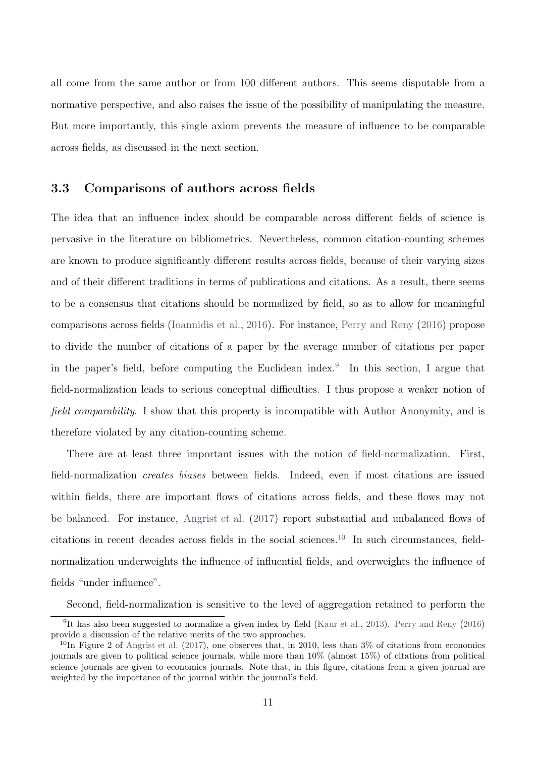all come from the same author or from 100 different authors. This seems disputable from a normative perspective, and also raises the issue of the possibility of manipulating the measure. But more importantly, this single axiom prevents the measure of influence to be comparable across fields, as discussed in the next section.

#### 3.3 Comparisons of authors across fields

The idea that an influence index should be comparable across different fields of science is pervasive in the literature on bibliometrics. Nevertheless, common citation-counting schemes are known to produce significantly different results across fields, because of their varying sizes and of their different traditions in terms of publications and citations. As a result, there seems to be a consensus that citations should be normalized by field, so as to allow for meaningful comparisons across fields [\(Ioannidis et al.](#page-29-7), [2016\)](#page-29-7). For instance, [Perry and Reny](#page-29-2) [\(2016\)](#page-29-2) propose to divide the number of citations of a paper by the average number of citations per paper in the paper's field, before computing the Euclidean index.<sup>9</sup> In this section, I argue that field-normalization leads to serious conceptual difficulties. I thus propose a weaker notion of *field comparability*. I show that this property is incompatible with Author Anonymity, and is therefore violated by any citation-counting scheme.

There are at least three important issues with the notion of field-normalization. First, field-normalization *creates biases* between fields. Indeed, even if most citations are issued within fields, there are important flows of citations across fields, and these flows may not be balanced. For instance, [Angrist et al.](#page-28-2) [\(2017](#page-28-2)) report substantial and unbalanced flows of citations in recent decades across fields in the social sciences.<sup>10</sup> In such circumstances, fieldnormalization underweights the influence of influential fields, and overweights the influence of fields "under influence".

Second, field-normalization is sensitive to the level of aggregation retained to perform the

<sup>&</sup>lt;sup>9</sup>It has also been suggested to normalize a given index by field [\(Kaur et al.,](#page-29-13) [2013](#page-29-13)). [Perry and Reny](#page-29-2) [\(2016\)](#page-29-2) provide a discussion of the relative merits of the two approaches.

<sup>&</sup>lt;sup>10</sup>In Figure 2 of [Angrist et al.](#page-28-2) [\(2017\)](#page-28-2), one observes that, in 2010, less than  $3\%$  of citations from economics journals are given to political science journals, while more than 10% (almost 15%) of citations from political science journals are given to economics journals. Note that, in this figure, citations from a given journal are weighted by the importance of the journal within the journal's field.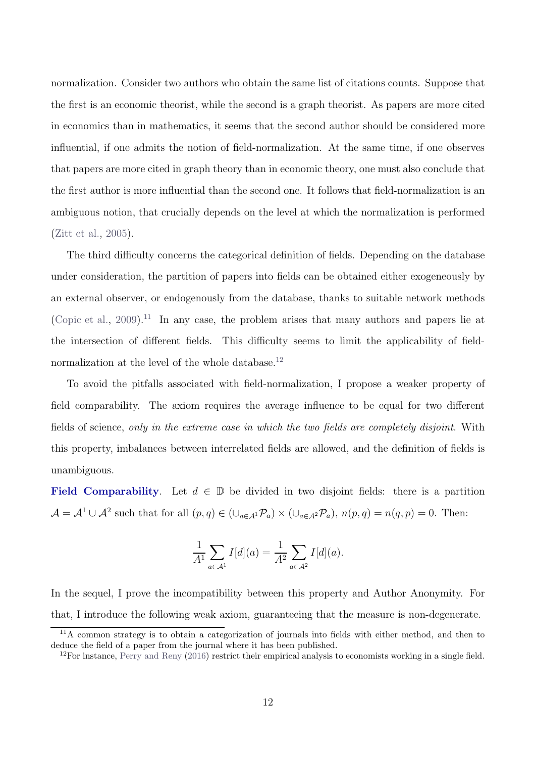normalization. Consider two authors who obtain the same list of citations counts. Suppose that the first is an economic theorist, while the second is a graph theorist. As papers are more cited in economics than in mathematics, it seems that the second author should be considered more influential, if one admits the notion of field-normalization. At the same time, if one observes that papers are more cited in graph theory than in economic theory, one must also conclude that the first author is more influential than the second one. It follows that field-normalization is an ambiguous notion, that crucially depends on the level at which the normalization is performed [\(Zitt et al.,](#page-30-5) [2005](#page-30-5)).

The third difficulty concerns the categorical definition of fields. Depending on the database under consideration, the partition of papers into fields can be obtained either exogeneously by an external observer, or endogenously from the database, thanks to suitable network methods [\(Copic et al.](#page-29-14), [2009](#page-29-14)).<sup>11</sup> In any case, the problem arises that many authors and papers lie at the intersection of different fields. This difficulty seems to limit the applicability of fieldnormalization at the level of the whole database.<sup>12</sup>

To avoid the pitfalls associated with field-normalization, I propose a weaker property of field comparability. The axiom requires the average influence to be equal for two different fields of science, *only in the extreme case in which the two fields are completely disjoint*. With this property, imbalances between interrelated fields are allowed, and the definition of fields is unambiguous.

Field Comparability. Let  $d \in \mathbb{D}$  be divided in two disjoint fields: there is a partition  $\mathcal{A} = \mathcal{A}^1 \cup \mathcal{A}^2$  such that for all  $(p, q) \in (\cup_{a \in \mathcal{A}^1} \mathcal{P}_a) \times (\cup_{a \in \mathcal{A}^2} \mathcal{P}_a), n(p, q) = n(q, p) = 0$ . Then:

$$
\frac{1}{A^1} \sum_{a \in A^1} I[d](a) = \frac{1}{A^2} \sum_{a \in A^2} I[d](a).
$$

In the sequel, I prove the incompatibility between this property and Author Anonymity. For that, I introduce the following weak axiom, guaranteeing that the measure is non-degenerate.

<sup>&</sup>lt;sup>11</sup>A common strategy is to obtain a categorization of journals into fields with either method, and then to deduce the field of a paper from the journal where it has been published.

<sup>&</sup>lt;sup>12</sup>For instance, [Perry and Reny](#page-29-2) [\(2016\)](#page-29-2) restrict their empirical analysis to economists working in a single field.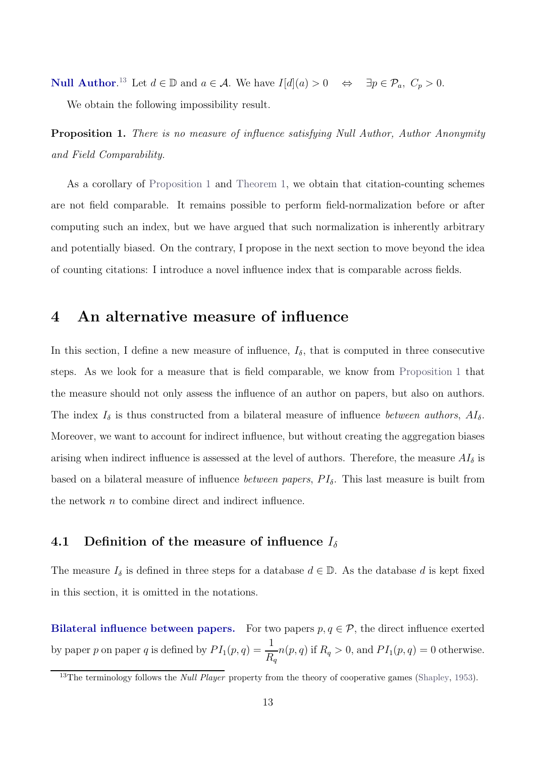**Null Author.**<sup>13</sup> Let  $d \in \mathbb{D}$  and  $a \in \mathcal{A}$ . We have  $I[d](a) > 0 \Leftrightarrow \exists p \in \mathcal{P}_a, C_p > 0$ .

We obtain the following impossibility result.

<span id="page-12-1"></span>Proposition 1. *There is no measure of influence satisfying Null Author, Author Anonymity and Field Comparability.*

As a corollary of [Proposition 1](#page-12-1) and [Theorem 1,](#page-8-1) we obtain that citation-counting schemes are not field comparable. It remains possible to perform field-normalization before or after computing such an index, but we have argued that such normalization is inherently arbitrary and potentially biased. On the contrary, I propose in the next section to move beyond the idea of counting citations: I introduce a novel influence index that is comparable across fields.

## <span id="page-12-0"></span>4 An alternative measure of influence

In this section, I define a new measure of influence,  $I_{\delta}$ , that is computed in three consecutive steps. As we look for a measure that is field comparable, we know from [Proposition 1](#page-12-1) that the measure should not only assess the influence of an author on papers, but also on authors. The index  $I_{\delta}$  is thus constructed from a bilateral measure of influence *between authors*,  $AI_{\delta}$ . Moreover, we want to account for indirect influence, but without creating the aggregation biases arising when indirect influence is assessed at the level of authors. Therefore, the measure  $AI_{\delta}$  is based on a bilateral measure of influence *between papers*,  $PI_{\delta}$ . This last measure is built from the network n to combine direct and indirect influence.

## 4.1 Definition of the measure of influence  $I_\delta$

The measure  $I_{\delta}$  is defined in three steps for a database  $d \in \mathbb{D}$ . As the database d is kept fixed in this section, it is omitted in the notations.

Bilateral influence between papers. For two papers  $p, q \in \mathcal{P}$ , the direct influence exerted by paper p on paper q is defined by  $PI_1(p,q) = \frac{1}{P}$  $R_q$  $n(p, q)$  if  $R_q > 0$ , and  $PI_1(p, q) = 0$  otherwise.

<sup>&</sup>lt;sup>13</sup>The terminology follows the *Null Player* property from the theory of cooperative games [\(Shapley,](#page-30-6) [1953\)](#page-30-6).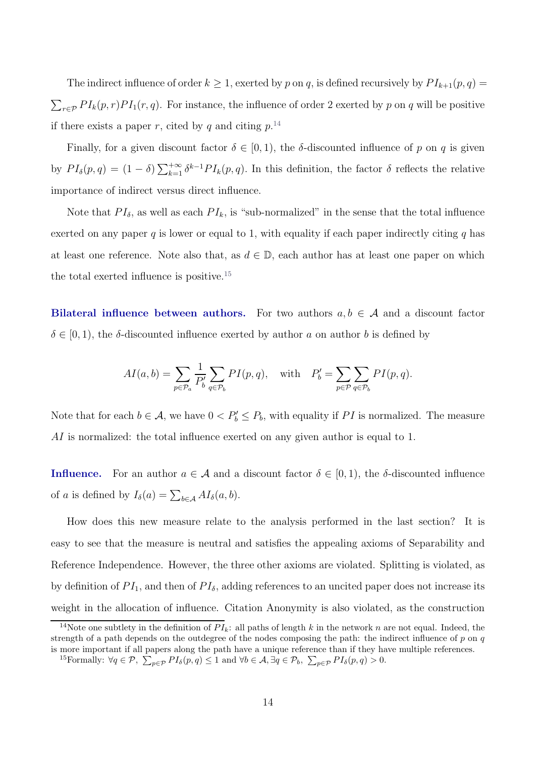The indirect influence of order  $k \geq 1$ , exerted by p on q, is defined recursively by  $PI_{k+1}(p, q) =$  $\sum_{r \in \mathcal{P}} PI_k(p,r)PI_1(r,q)$ . For instance, the influence of order 2 exerted by p on q will be positive if there exists a paper r, cited by q and citing  $p^{14}$ .

Finally, for a given discount factor  $\delta \in [0,1)$ , the  $\delta$ -discounted influence of p on q is given by  $PI_{\delta}(p,q) = (1-\delta) \sum_{k=1}^{+\infty} \delta^{k-1} PI_k(p,q)$ . In this definition, the factor  $\delta$  reflects the relative importance of indirect versus direct influence.

Note that  $PI_{\delta}$ , as well as each  $PI_k$ , is "sub-normalized" in the sense that the total influence exerted on any paper q is lower or equal to 1, with equality if each paper indirectly citing q has at least one reference. Note also that, as  $d \in \mathbb{D}$ , each author has at least one paper on which the total exerted influence is positive.<sup>15</sup>

Bilateral influence between authors. For two authors  $a, b \in \mathcal{A}$  and a discount factor  $\delta \in [0, 1)$ , the  $\delta$ -discounted influence exerted by author a on author b is defined by

$$
AI(a,b) = \sum_{p \in \mathcal{P}_a} \frac{1}{P'_b} \sum_{q \in \mathcal{P}_b} PI(p,q), \quad \text{with} \quad P'_b = \sum_{p \in \mathcal{P}} \sum_{q \in \mathcal{P}_b} PI(p,q).
$$

Note that for each  $b \in \mathcal{A}$ , we have  $0 < P'_{b} \leq P_{b}$ , with equality if PI is normalized. The measure AI is normalized: the total influence exerted on any given author is equal to 1.

**Influence.** For an author  $a \in \mathcal{A}$  and a discount factor  $\delta \in [0,1)$ , the  $\delta$ -discounted influence of *a* is defined by  $I_{\delta}(a) = \sum_{b \in A} A I_{\delta}(a, b)$ .

How does this new measure relate to the analysis performed in the last section? It is easy to see that the measure is neutral and satisfies the appealing axioms of Separability and Reference Independence. However, the three other axioms are violated. Splitting is violated, as by definition of  $PI_1$ , and then of  $PI_\delta$ , adding references to an uncited paper does not increase its weight in the allocation of influence. Citation Anonymity is also violated, as the construction

<sup>&</sup>lt;sup>14</sup>Note one subtlety in the definition of  $PI_k$ : all paths of length k in the network n are not equal. Indeed, the strength of a path depends on the outdegree of the nodes composing the path: the indirect influence of  $p$  on  $q$ is more important if all papers along the path have a unique reference than if they have multiple references.

<sup>&</sup>lt;sup>15</sup>Formally:  $\forall q \in \mathcal{P}, \sum_{p \in \mathcal{P}} P I_{\delta}(p,q) \leq 1$  and  $\forall b \in \mathcal{A}, \exists q \in \mathcal{P}_b, \sum_{p \in \mathcal{P}} P I_{\delta}(p,q) > 0$ .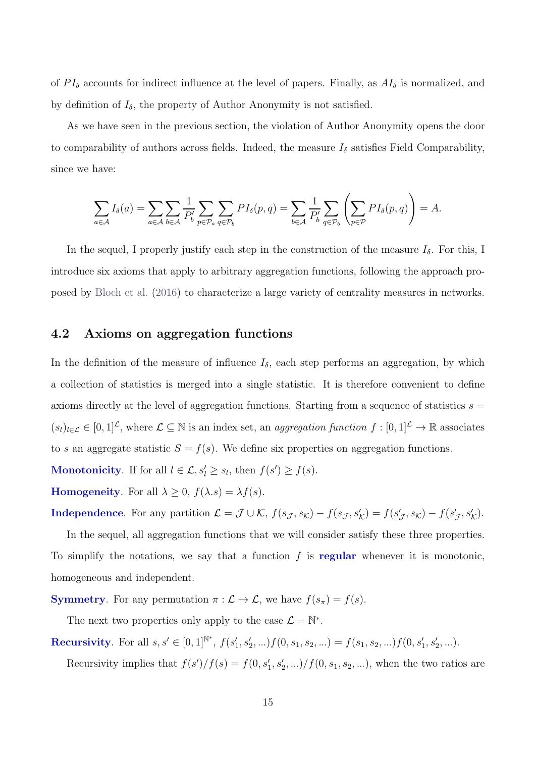of  $PI_{\delta}$  accounts for indirect influence at the level of papers. Finally, as  $AI_{\delta}$  is normalized, and by definition of  $I_{\delta}$ , the property of Author Anonymity is not satisfied.

As we have seen in the previous section, the violation of Author Anonymity opens the door to comparability of authors across fields. Indeed, the measure  $I_{\delta}$  satisfies Field Comparability, since we have:

$$
\sum_{a \in \mathcal{A}} I_{\delta}(a) = \sum_{a \in \mathcal{A}} \sum_{b \in \mathcal{A}} \frac{1}{P_b'} \sum_{p \in \mathcal{P}_a} \sum_{q \in \mathcal{P}_b} P I_{\delta}(p,q) = \sum_{b \in \mathcal{A}} \frac{1}{P_b'} \sum_{q \in \mathcal{P}_b} \left( \sum_{p \in \mathcal{P}} P I_{\delta}(p,q) \right) = A.
$$

In the sequel, I properly justify each step in the construction of the measure  $I_{\delta}$ . For this, I introduce six axioms that apply to arbitrary aggregation functions, following the approach proposed by [Bloch et al.](#page-28-4) [\(2016\)](#page-28-4) to characterize a large variety of centrality measures in networks.

### 4.2 Axioms on aggregation functions

In the definition of the measure of influence  $I_{\delta}$ , each step performs an aggregation, by which a collection of statistics is merged into a single statistic. It is therefore convenient to define axioms directly at the level of aggregation functions. Starting from a sequence of statistics  $s =$  $(s_l)_{l \in \mathcal{L}} \in [0,1]^{\mathcal{L}}$ , where  $\mathcal{L} \subseteq \mathbb{N}$  is an index set, an *aggregation function*  $f : [0,1]^{\mathcal{L}} \to \mathbb{R}$  associates to s an aggregate statistic  $S = f(s)$ . We define six properties on aggregation functions.

**Monotonicity**. If for all  $l \in \mathcal{L}, s'_l \ge s_l$ , then  $f(s') \ge f(s)$ .

**Homogeneity**. For all  $\lambda \geq 0$ ,  $f(\lambda.s) = \lambda f(s)$ .

**Independence**. For any partition  $\mathcal{L} = \mathcal{J} \cup \mathcal{K}$ ,  $f(s_{\mathcal{J}}, s_{\mathcal{K}}) - f(s_{\mathcal{J}}, s_{\mathcal{K}}') = f(s_{\mathcal{J}}', s_{\mathcal{K}}) - f(s_{\mathcal{J}}', s_{\mathcal{K}}').$ 

In the sequel, all aggregation functions that we will consider satisfy these three properties. To simplify the notations, we say that a function  $f$  is regular whenever it is monotonic, homogeneous and independent.

**Symmetry.** For any permutation  $\pi : \mathcal{L} \to \mathcal{L}$ , we have  $f(s_{\pi}) = f(s)$ .

The next two properties only apply to the case  $\mathcal{L} = \mathbb{N}^*$ .

Recursivity. For all  $s, s' \in [0,1]^{\mathbb{N}^*}$ ,  $f(s'_1, s'_2, ...) f(0, s_1, s_2, ...)= f(s_1, s_2, ...) f(0, s'_1, s'_2, ...).$ 

Recursivity implies that  $f(s')/f(s) = f(0, s_1', s_2', ...) / f(0, s_1, s_2, ...)$ , when the two ratios are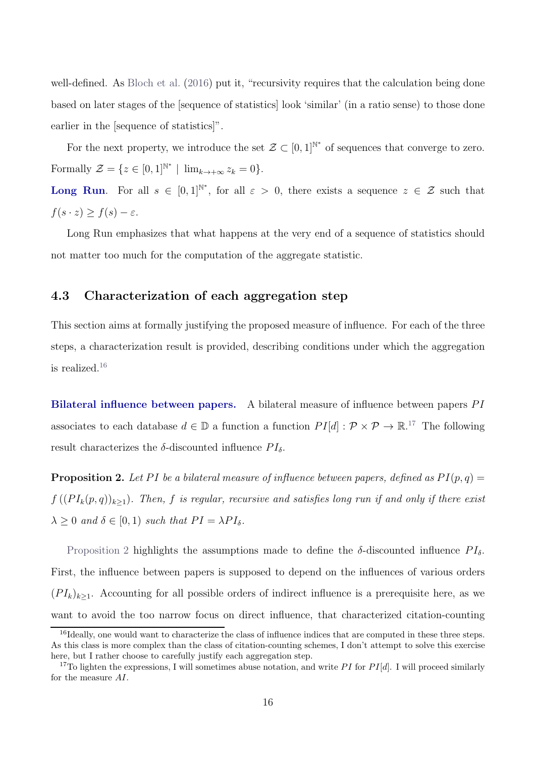well-defined. As [Bloch et al.](#page-28-4) [\(2016](#page-28-4)) put it, "recursivity requires that the calculation being done based on later stages of the [sequence of statistics] look 'similar' (in a ratio sense) to those done earlier in the [sequence of statistics]".

For the next property, we introduce the set  $\mathcal{Z} \subset [0,1]^{\mathbb{N}^*}$  of sequences that converge to zero. Formally  $\mathcal{Z} = \{ z \in [0,1]^{\mathbb{N}^*} \mid \lim_{k \to +\infty} z_k = 0 \}.$ 

**Long Run.** For all  $s \in [0,1]^{\mathbb{N}^*}$ , for all  $\varepsilon > 0$ , there exists a sequence  $z \in \mathcal{Z}$  such that  $f(s \cdot z) \geq f(s) - \varepsilon.$ 

<span id="page-15-0"></span>Long Run emphasizes that what happens at the very end of a sequence of statistics should not matter too much for the computation of the aggregate statistic.

#### 4.3 Characterization of each aggregation step

This section aims at formally justifying the proposed measure of influence. For each of the three steps, a characterization result is provided, describing conditions under which the aggregation is realized.<sup>16</sup>

Bilateral influence between papers. A bilateral measure of influence between papers PI associates to each database  $d \in \mathbb{D}$  a function a function  $PI[d]: \mathcal{P} \times \mathcal{P} \to \mathbb{R}^{17}$  The following result characterizes the  $\delta$ -discounted influence  $PI_{\delta}$ .

<span id="page-15-1"></span>**Proposition 2.** Let PI be a bilateral measure of influence between papers, defined as  $PI(p,q)$  $f((PI_k(p,q))_{k\geq 1})$ *. Then, f is regular, recursive and satisfies long run if and only if there exist*  $\lambda \geq 0$  *and*  $\delta \in [0, 1)$  *such that*  $PI = \lambda PI_{\delta}$ *.* 

[Proposition 2](#page-15-1) highlights the assumptions made to define the  $\delta$ -discounted influence  $PI_{\delta}$ . First, the influence between papers is supposed to depend on the influences of various orders  $(PI_k)_{k\geq 1}$ . Accounting for all possible orders of indirect influence is a prerequisite here, as we want to avoid the too narrow focus on direct influence, that characterized citation-counting

 $^{16}$ Ideally, one would want to characterize the class of influence indices that are computed in these three steps. As this class is more complex than the class of citation-counting schemes, I don't attempt to solve this exercise here, but I rather choose to carefully justify each aggregation step.

<sup>&</sup>lt;sup>17</sup>To lighten the expressions, I will sometimes abuse notation, and write PI for PI[d]. I will proceed similarly for the measure AI.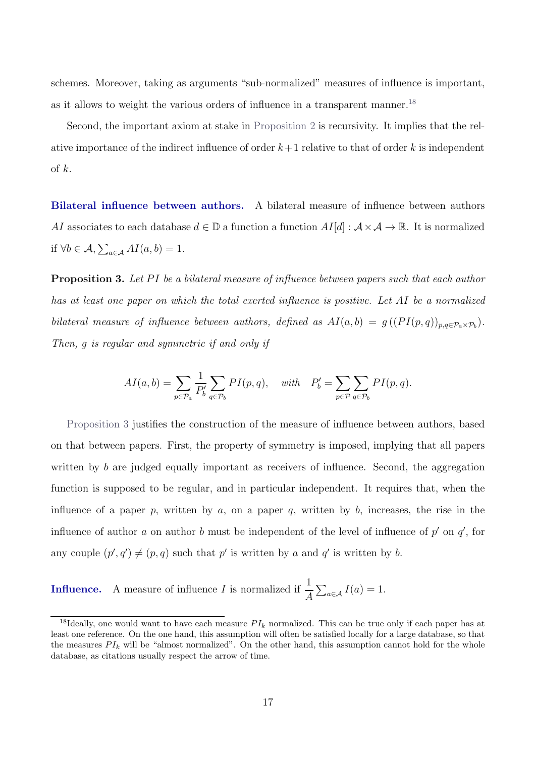schemes. Moreover, taking as arguments "sub-normalized" measures of influence is important, as it allows to weight the various orders of influence in a transparent manner.<sup>18</sup>

Second, the important axiom at stake in [Proposition 2](#page-15-1) is recursivity. It implies that the relative importance of the indirect influence of order  $k+1$  relative to that of order k is independent of  $k$ .

Bilateral influence between authors. A bilateral measure of influence between authors AI associates to each database  $d \in \mathbb{D}$  a function a function  $AI[d]: \mathcal{A} \times \mathcal{A} \to \mathbb{R}$ . It is normalized if ∀ $b \in \mathcal{A}, \sum_{a \in \mathcal{A}} AI(a, b) = 1.$ 

<span id="page-16-0"></span>**Proposition 3.** Let PI be a bilateral measure of influence between papers such that each author *has at least one paper on which the total exerted influence is positive. Let* AI *be a normalized bilateral measure of influence between authors, defined as*  $AI(a, b) = g((PI(p, q))_{p,q \in P_a \times P_b})$ . *Then,* g *is regular and symmetric if and only if*

$$
AI(a,b) = \sum_{p \in \mathcal{P}_a} \frac{1}{P'_b} \sum_{q \in \mathcal{P}_b} PI(p,q), \quad with \quad P'_b = \sum_{p \in \mathcal{P}} \sum_{q \in \mathcal{P}_b} PI(p,q).
$$

[Proposition 3](#page-16-0) justifies the construction of the measure of influence between authors, based on that between papers. First, the property of symmetry is imposed, implying that all papers written by  $b$  are judged equally important as receivers of influence. Second, the aggregation function is supposed to be regular, and in particular independent. It requires that, when the influence of a paper  $p$ , written by  $a$ , on a paper  $q$ , written by  $b$ , increases, the rise in the influence of author a on author b must be independent of the level of influence of  $p'$  on  $q'$ , for any couple  $(p', q') \neq (p, q)$  such that p' is written by a and q' is written by b.

**Influence.** A measure of influence *I* is normalized if  $\frac{1}{4}$ A  $\sum_{a\in\mathcal{A}} I(a) = 1.$ 

<sup>&</sup>lt;sup>18</sup>Ideally, one would want to have each measure  $PI_k$  normalized. This can be true only if each paper has at least one reference. On the one hand, this assumption will often be satisfied locally for a large database, so that the measures  $PI_k$  will be "almost normalized". On the other hand, this assumption cannot hold for the whole database, as citations usually respect the arrow of time.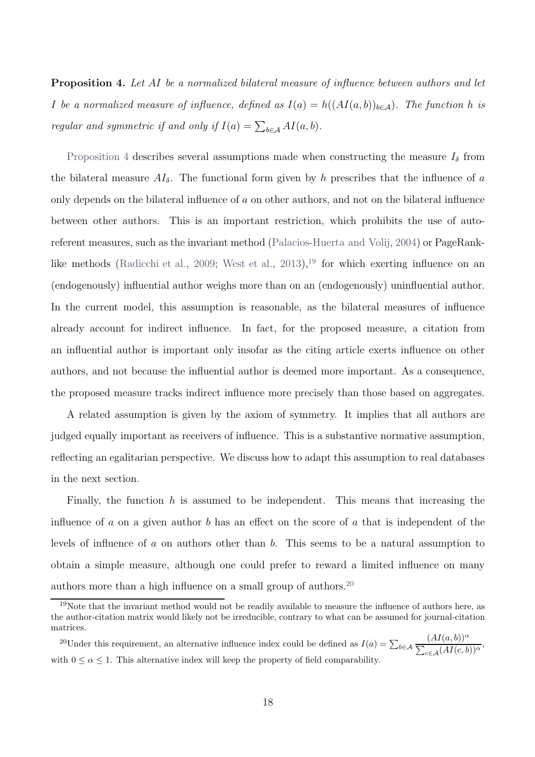<span id="page-17-0"></span>Proposition 4. *Let* AI *be a normalized bilateral measure of influence between authors and let* I be a normalized measure of influence, defined as  $I(a) = h((AI(a, b))_{b \in A})$ . The function h is *regular and symmetric if and only if*  $I(a) = \sum_{b \in A} AI(a, b)$ *.* 

[Proposition 4](#page-17-0) describes several assumptions made when constructing the measure  $I_{\delta}$  from the bilateral measure  $AI_{\delta}$ . The functional form given by h prescribes that the influence of a only depends on the bilateral influence of  $a$  on other authors, and not on the bilateral influence between other authors. This is an important restriction, which prohibits the use of autoreferent measures, such as the invariant method [\(Palacios-Huerta and Volij,](#page-29-0) [2004](#page-29-0)) or PageRank-like methods [\(Radicchi et al.,](#page-30-2) [2009](#page-30-2); [West et al.](#page-30-3), [2013](#page-30-3)),<sup>19</sup> for which exerting influence on an (endogenously) influential author weighs more than on an (endogenously) uninfluential author. In the current model, this assumption is reasonable, as the bilateral measures of influence already account for indirect influence. In fact, for the proposed measure, a citation from an influential author is important only insofar as the citing article exerts influence on other authors, and not because the influential author is deemed more important. As a consequence, the proposed measure tracks indirect influence more precisely than those based on aggregates.

A related assumption is given by the axiom of symmetry. It implies that all authors are judged equally important as receivers of influence. This is a substantive normative assumption, reflecting an egalitarian perspective. We discuss how to adapt this assumption to real databases in the next section.

Finally, the function  $h$  is assumed to be independent. This means that increasing the influence of a on a given author b has an effect on the score of a that is independent of the levels of influence of a on authors other than b. This seems to be a natural assumption to obtain a simple measure, although one could prefer to reward a limited influence on many authors more than a high influence on a small group of authors.<sup>20</sup>

<sup>20</sup>Under this requirement, an alternative influence index could be defined as  $I(a) = \sum_{b \in A}$  $(AI(a, b))^{\alpha}$  $\frac{\sum_{c \in \mathcal{A}} (AI(c, b))^{\alpha}}{\sum_{c \in \mathcal{A}} (AI(c, b))^{\alpha}},$ with  $0 \le \alpha \le 1$ . This alternative index will keep the property of field comparability.

<sup>&</sup>lt;sup>19</sup>Note that the invariant method would not be readily available to measure the influence of authors here, as the author-citation matrix would likely not be irreducible, contrary to what can be assumed for journal-citation matrices.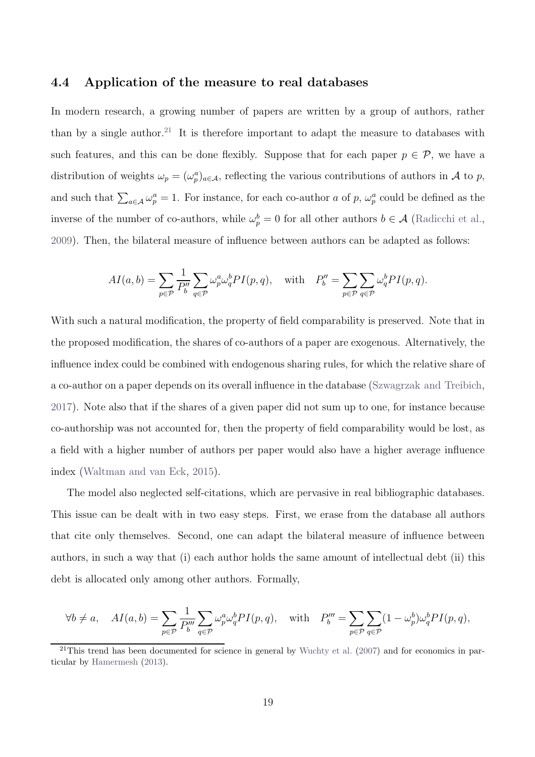#### 4.4 Application of the measure to real databases

In modern research, a growing number of papers are written by a group of authors, rather than by a single author.<sup>21</sup> It is therefore important to adapt the measure to databases with such features, and this can be done flexibly. Suppose that for each paper  $p \in \mathcal{P}$ , we have a distribution of weights  $\omega_p = (\omega_p^a)_{a \in \mathcal{A}}$ , reflecting the various contributions of authors in A to p, and such that  $\sum_{a\in\mathcal{A}}\omega_p^a=1$ . For instance, for each co-author a of p,  $\omega_p^a$  could be defined as the inverse of the number of co-authors, while  $\omega_p^b = 0$  for all other authors  $b \in \mathcal{A}$  [\(Radicchi et al.,](#page-30-2) [2009](#page-30-2)). Then, the bilateral measure of influence between authors can be adapted as follows:

$$
AI(a,b) = \sum_{p \in \mathcal{P}} \frac{1}{P_b''} \sum_{q \in \mathcal{P}} \omega_p^a \omega_q^b P I(p,q), \quad \text{with} \quad P_b'' = \sum_{p \in \mathcal{P}} \sum_{q \in \mathcal{P}} \omega_q^b P I(p,q).
$$

With such a natural modification, the property of field comparability is preserved. Note that in the proposed modification, the shares of co-authors of a paper are exogenous. Alternatively, the influence index could be combined with endogenous sharing rules, for which the relative share of a co-author on a paper depends on its overall influence in the database [\(Szwagrzak and Treibich,](#page-30-7) [2017](#page-30-7)). Note also that if the shares of a given paper did not sum up to one, for instance because co-authorship was not accounted for, then the property of field comparability would be lost, as a field with a higher number of authors per paper would also have a higher average influence index [\(Waltman and van Eck](#page-30-8), [2015\)](#page-30-8).

The model also neglected self-citations, which are pervasive in real bibliographic databases. This issue can be dealt with in two easy steps. First, we erase from the database all authors that cite only themselves. Second, one can adapt the bilateral measure of influence between authors, in such a way that (i) each author holds the same amount of intellectual debt (ii) this debt is allocated only among other authors. Formally,

$$
\forall b \neq a, \quad AI(a, b) = \sum_{p \in \mathcal{P}} \frac{1}{P_b^{\prime \prime \prime}} \sum_{q \in \mathcal{P}} \omega_p^a \omega_q^b P I(p, q), \quad \text{with} \quad P_b^{\prime \prime \prime} = \sum_{p \in \mathcal{P}} \sum_{q \in \mathcal{P}} (1 - \omega_p^b) \omega_q^b P I(p, q),
$$

 $21$ This trend has been documented for science in general by [Wuchty et al.](#page-30-9) [\(2007](#page-30-9)) and for economics in particular by [Hamermesh](#page-29-15) [\(2013\)](#page-29-15).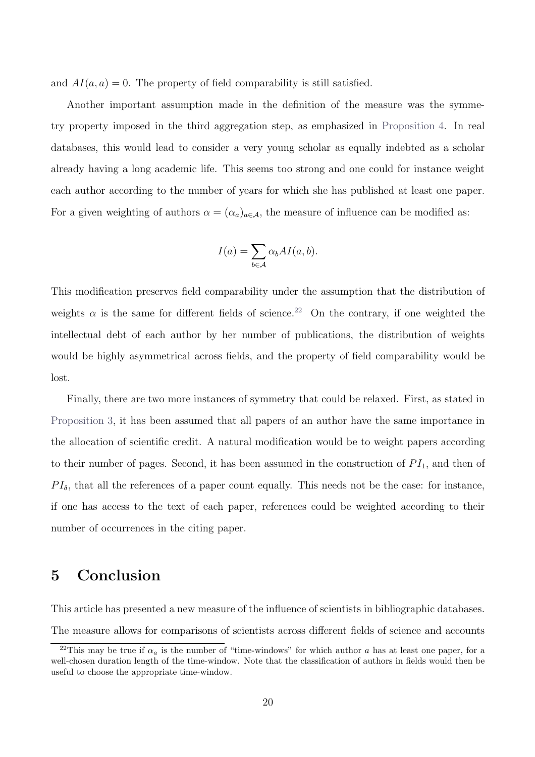and  $AI(a, a) = 0$ . The property of field comparability is still satisfied.

Another important assumption made in the definition of the measure was the symmetry property imposed in the third aggregation step, as emphasized in [Proposition 4.](#page-17-0) In real databases, this would lead to consider a very young scholar as equally indebted as a scholar already having a long academic life. This seems too strong and one could for instance weight each author according to the number of years for which she has published at least one paper. For a given weighting of authors  $\alpha = (\alpha_a)_{a \in \mathcal{A}}$ , the measure of influence can be modified as:

$$
I(a) = \sum_{b \in \mathcal{A}} \alpha_b A I(a, b).
$$

This modification preserves field comparability under the assumption that the distribution of weights  $\alpha$  is the same for different fields of science.<sup>22</sup> On the contrary, if one weighted the intellectual debt of each author by her number of publications, the distribution of weights would be highly asymmetrical across fields, and the property of field comparability would be lost.

Finally, there are two more instances of symmetry that could be relaxed. First, as stated in [Proposition 3,](#page-16-0) it has been assumed that all papers of an author have the same importance in the allocation of scientific credit. A natural modification would be to weight papers according to their number of pages. Second, it has been assumed in the construction of  $PI_1$ , and then of  $PI_{\delta}$ , that all the references of a paper count equally. This needs not be the case: for instance, if one has access to the text of each paper, references could be weighted according to their number of occurrences in the citing paper.

## 5 Conclusion

This article has presented a new measure of the influence of scientists in bibliographic databases. The measure allows for comparisons of scientists across different fields of science and accounts

<sup>&</sup>lt;sup>22</sup>This may be true if  $\alpha_a$  is the number of "time-windows" for which author a has at least one paper, for a well-chosen duration length of the time-window. Note that the classification of authors in fields would then be useful to choose the appropriate time-window.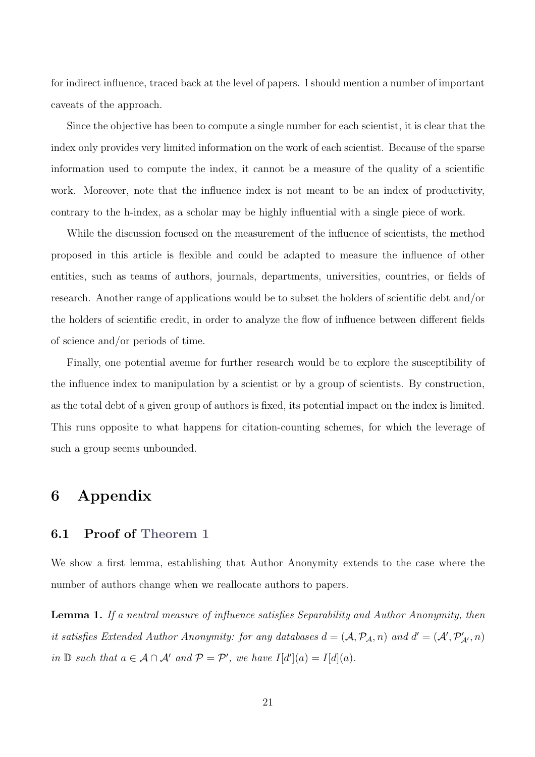for indirect influence, traced back at the level of papers. I should mention a number of important caveats of the approach.

Since the objective has been to compute a single number for each scientist, it is clear that the index only provides very limited information on the work of each scientist. Because of the sparse information used to compute the index, it cannot be a measure of the quality of a scientific work. Moreover, note that the influence index is not meant to be an index of productivity, contrary to the h-index, as a scholar may be highly influential with a single piece of work.

While the discussion focused on the measurement of the influence of scientists, the method proposed in this article is flexible and could be adapted to measure the influence of other entities, such as teams of authors, journals, departments, universities, countries, or fields of research. Another range of applications would be to subset the holders of scientific debt and/or the holders of scientific credit, in order to analyze the flow of influence between different fields of science and/or periods of time.

Finally, one potential avenue for further research would be to explore the susceptibility of the influence index to manipulation by a scientist or by a group of scientists. By construction, as the total debt of a given group of authors is fixed, its potential impact on the index is limited. This runs opposite to what happens for citation-counting schemes, for which the leverage of such a group seems unbounded.

## 6 Appendix

#### 6.1 Proof of [Theorem 1](#page-8-1)

We show a first lemma, establishing that Author Anonymity extends to the case where the number of authors change when we reallocate authors to papers.

<span id="page-20-0"></span>Lemma 1. *If a neutral measure of influence satisfies Separability and Author Anonymity, then it satisfies Extended Author Anonymity: for any databases*  $d = (\mathcal{A}, \mathcal{P}_{\mathcal{A}}, n)$  and  $d' = (\mathcal{A}', \mathcal{P}'_{\mathcal{A}'}, n)$ *in*  $\mathbb{D}$  *such that*  $a \in \mathcal{A} \cap \mathcal{A}'$  *and*  $\mathcal{P} = \mathcal{P}'$ *, we have*  $I[d'](a) = I[d](a)$ *.*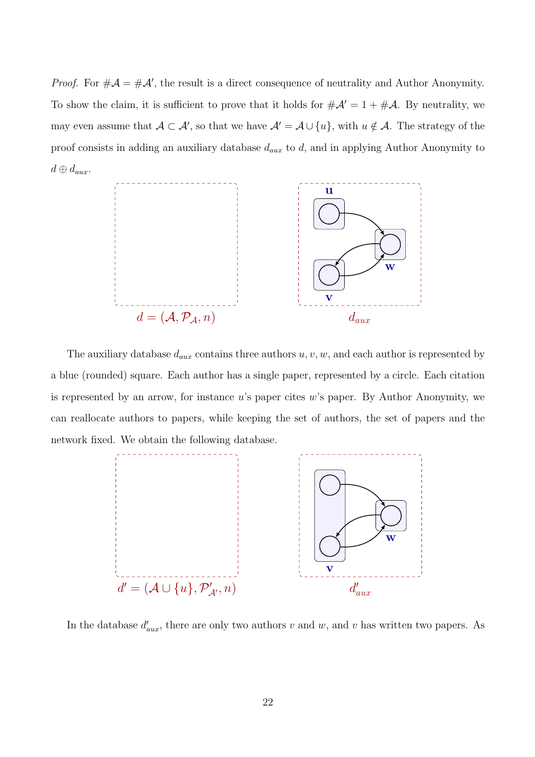*Proof.* For  $\#\mathcal{A} = \#\mathcal{A}'$ , the result is a direct consequence of neutrality and Author Anonymity. To show the claim, it is sufficient to prove that it holds for  $\#\mathcal{A}' = 1 + \#\mathcal{A}$ . By neutrality, we may even assume that  $A \subset \mathcal{A}'$ , so that we have  $\mathcal{A}' = \mathcal{A} \cup \{u\}$ , with  $u \notin \mathcal{A}$ . The strategy of the proof consists in adding an auxiliary database  $d_{aux}$  to d, and in applying Author Anonymity to  $d \oplus d_{aux}.$ 



The auxiliary database  $d_{aux}$  contains three authors  $u, v, w$ , and each author is represented by a blue (rounded) square. Each author has a single paper, represented by a circle. Each citation is represented by an arrow, for instance  $u$ 's paper cites  $w$ 's paper. By Author Anonymity, we can reallocate authors to papers, while keeping the set of authors, the set of papers and the network fixed. We obtain the following database.



In the database  $d'_{aux}$ , there are only two authors v and w, and v has written two papers. As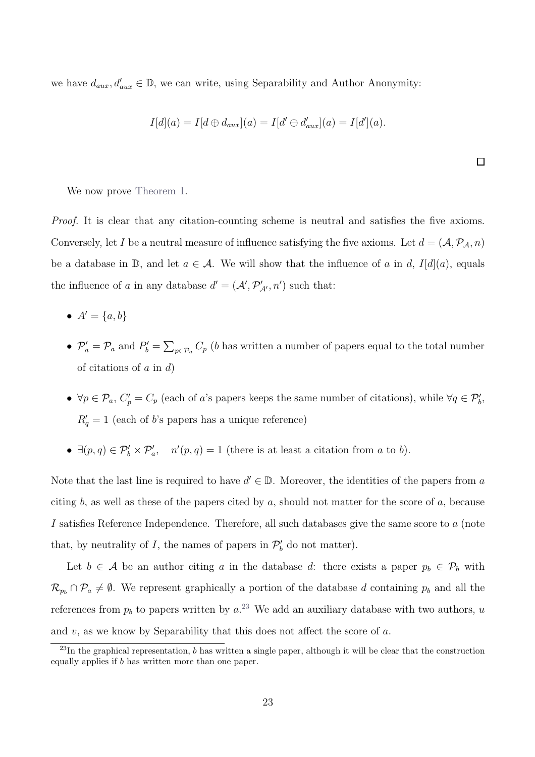we have  $d_{aux}, d'_{aux} \in \mathbb{D}$ , we can write, using Separability and Author Anonymity:

$$
I[d](a) = I[d \oplus d_{aux}](a) = I[d' \oplus d'_{aux}](a) = I[d'](a).
$$

 $\Box$ 

We now prove [Theorem 1.](#page-8-1)

*Proof.* It is clear that any citation-counting scheme is neutral and satisfies the five axioms. Conversely, let I be a neutral measure of influence satisfying the five axioms. Let  $d = (A, \mathcal{P}_A, n)$ be a database in D, and let  $a \in \mathcal{A}$ . We will show that the influence of a in d,  $I[d](a)$ , equals the influence of a in any database  $d' = (\mathcal{A}', \mathcal{P}'_{\mathcal{A}'}, n')$  such that:

- $A' = \{a, b\}$
- $\mathcal{P}'_a = \mathcal{P}_a$  and  $P'_b = \sum_{p \in \mathcal{P}_a} C_p$  (b has written a number of papers equal to the total number of citations of  $a$  in  $d$ )
- $\forall p \in \mathcal{P}_a, C'_p = C_p$  (each of a's papers keeps the same number of citations), while  $\forall q \in \mathcal{P}'_b$ ,  $R'_{q} = 1$  (each of b's papers has a unique reference)
- $\exists (p,q) \in \mathcal{P}'_b \times \mathcal{P}'_a$ ,  $n'(p,q) = 1$  (there is at least a citation from a to b).

Note that the last line is required to have  $d' \in \mathbb{D}$ . Moreover, the identities of the papers from a citing b, as well as these of the papers cited by a, should not matter for the score of a, because I satisfies Reference Independence. Therefore, all such databases give the same score to a (note that, by neutrality of  $I$ , the names of papers in  $\mathcal{P}'_b$  do not matter).

Let  $b \in \mathcal{A}$  be an author citing a in the database d: there exists a paper  $p_b \in \mathcal{P}_b$  with  $\mathcal{R}_{p_b} \cap \mathcal{P}_a \neq \emptyset$ . We represent graphically a portion of the database d containing  $p_b$  and all the references from  $p_b$  to papers written by  $a^{23}$  We add an auxiliary database with two authors, u and  $v$ , as we know by Separability that this does not affect the score of  $a$ .

 $^{23}$ In the graphical representation, b has written a single paper, although it will be clear that the construction equally applies if b has written more than one paper.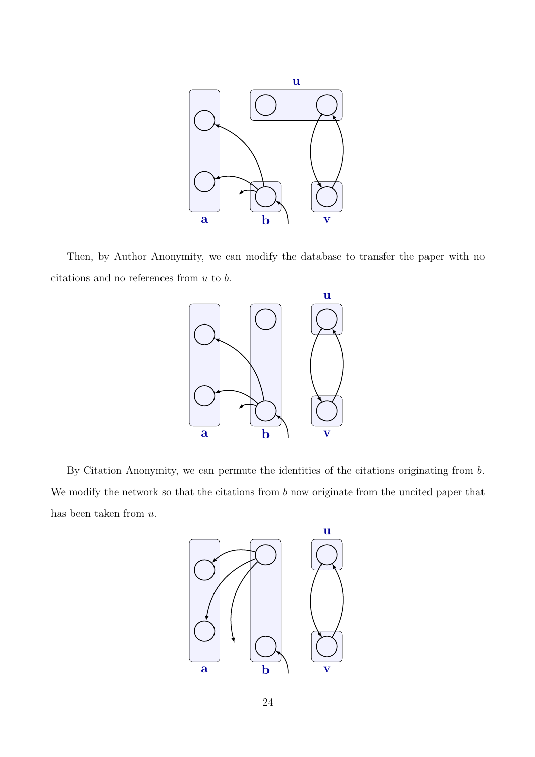

Then, by Author Anonymity, we can modify the database to transfer the paper with no citations and no references from  $u$  to  $b$ .



By Citation Anonymity, we can permute the identities of the citations originating from  $b$ . We modify the network so that the citations from b now originate from the uncited paper that has been taken from  $u$ .

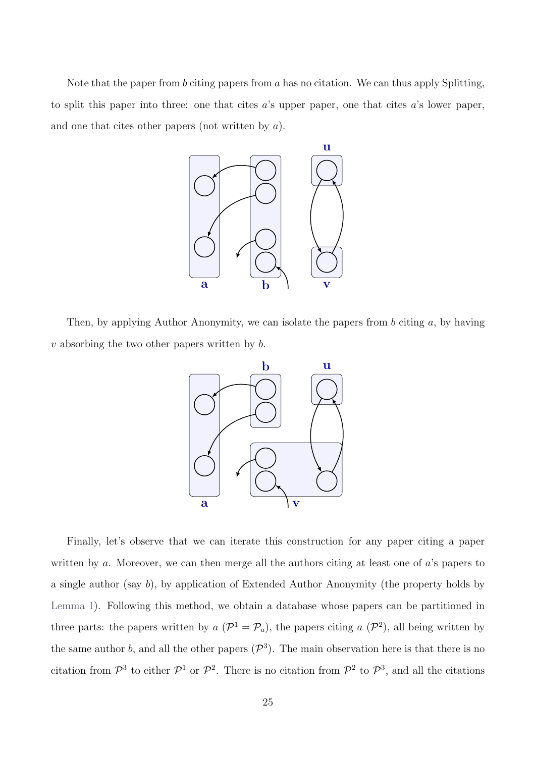Note that the paper from  $b$  citing papers from  $a$  has no citation. We can thus apply Splitting, to split this paper into three: one that cites a's upper paper, one that cites a's lower paper, and one that cites other papers (not written by a).



Then, by applying Author Anonymity, we can isolate the papers from  $b$  citing  $a$ , by having  $v$  absorbing the two other papers written by  $b$ .



Finally, let's observe that we can iterate this construction for any paper citing a paper written by  $a$ . Moreover, we can then merge all the authors citing at least one of  $a$ 's papers to a single author (say b), by application of Extended Author Anonymity (the property holds by [Lemma 1\)](#page-20-0). Following this method, we obtain a database whose papers can be partitioned in three parts: the papers written by  $a(\mathcal{P}^1 = \mathcal{P}_a)$ , the papers citing  $a(\mathcal{P}^2)$ , all being written by the same author b, and all the other papers  $(\mathcal{P}^3)$ . The main observation here is that there is no citation from  $\mathcal{P}^3$  to either  $\mathcal{P}^1$  or  $\mathcal{P}^2$ . There is no citation from  $\mathcal{P}^2$  to  $\mathcal{P}^3$ , and all the citations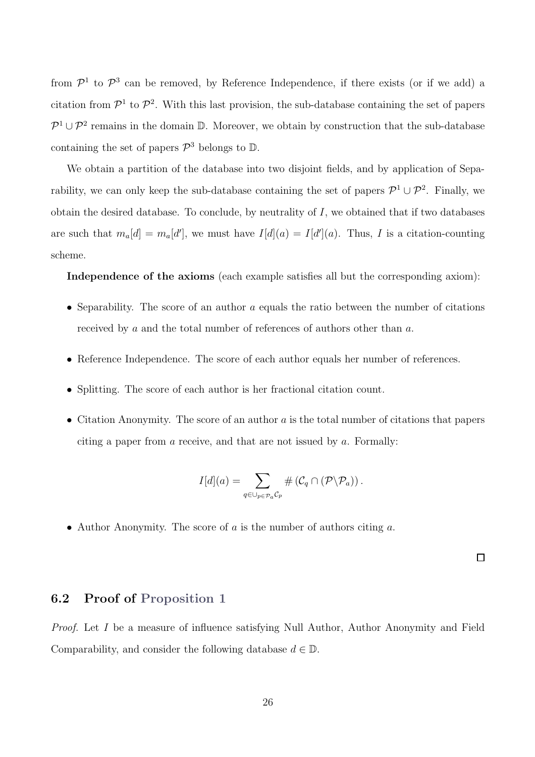from  $\mathcal{P}^1$  to  $\mathcal{P}^3$  can be removed, by Reference Independence, if there exists (or if we add) a citation from  $\mathcal{P}^1$  to  $\mathcal{P}^2$ . With this last provision, the sub-database containing the set of papers  $\mathcal{P}^1 \cup \mathcal{P}^2$  remains in the domain D. Moreover, we obtain by construction that the sub-database containing the set of papers  $\mathcal{P}^3$  belongs to  $\mathbb{D}$ .

We obtain a partition of the database into two disjoint fields, and by application of Separability, we can only keep the sub-database containing the set of papers  $\mathcal{P}^1 \cup \mathcal{P}^2$ . Finally, we obtain the desired database. To conclude, by neutrality of I, we obtained that if two databases are such that  $m_a[d] = m_a[d']$ , we must have  $I[d](a) = I[d'](a)$ . Thus, I is a citation-counting scheme.

Independence of the axioms (each example satisfies all but the corresponding axiom):

- Separability. The score of an author  $a$  equals the ratio between the number of citations received by a and the total number of references of authors other than a.
- Reference Independence. The score of each author equals her number of references.
- Splitting. The score of each author is her fractional citation count.
- Citation Anonymity. The score of an author  $a$  is the total number of citations that papers citing a paper from a receive, and that are not issued by a. Formally:

$$
I[d](a) = \sum_{q \in \cup_{p \in \mathcal{P}_a} C_p} \#(\mathcal{C}_q \cap (\mathcal{P} \backslash \mathcal{P}_a)).
$$

• Author Anonymity. The score of  $a$  is the number of authors citing  $a$ .

 $\Box$ 

#### 6.2 Proof of [Proposition 1](#page-12-1)

*Proof.* Let I be a measure of influence satisfying Null Author, Author Anonymity and Field Comparability, and consider the following database  $d \in \mathbb{D}$ .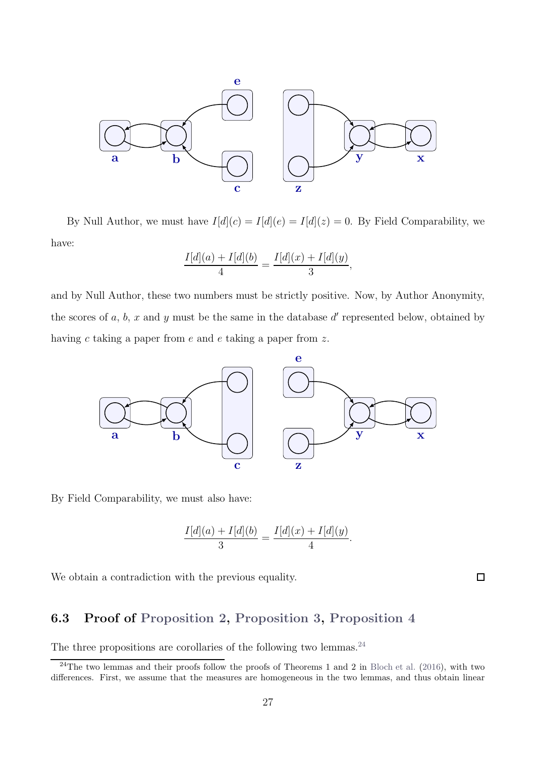

By Null Author, we must have  $I[d](c) = I[d](e) = I[d](z) = 0$ . By Field Comparability, we have:

$$
\frac{I[d](a) + I[d](b)}{4} = \frac{I[d](x) + I[d](y)}{3},
$$

and by Null Author, these two numbers must be strictly positive. Now, by Author Anonymity, the scores of  $a, b, x$  and  $y$  must be the same in the database  $d'$  represented below, obtained by having c taking a paper from e and e taking a paper from z.



By Field Comparability, we must also have:

$$
\frac{I[d](a) + I[d](b)}{3} = \frac{I[d](x) + I[d](y)}{4}.
$$

We obtain a contradiction with the previous equality.

## 6.3 Proof of [Proposition 2,](#page-15-1) [Proposition 3,](#page-16-0) [Proposition 4](#page-17-0)

The three propositions are corollaries of the following two lemmas.  $24$ 

 $\Box$ 

<sup>&</sup>lt;sup>24</sup>The two lemmas and their proofs follow the proofs of Theorems 1 and 2 in [Bloch et al.](#page-28-4) [\(2016\)](#page-28-4), with two differences. First, we assume that the measures are homogeneous in the two lemmas, and thus obtain linear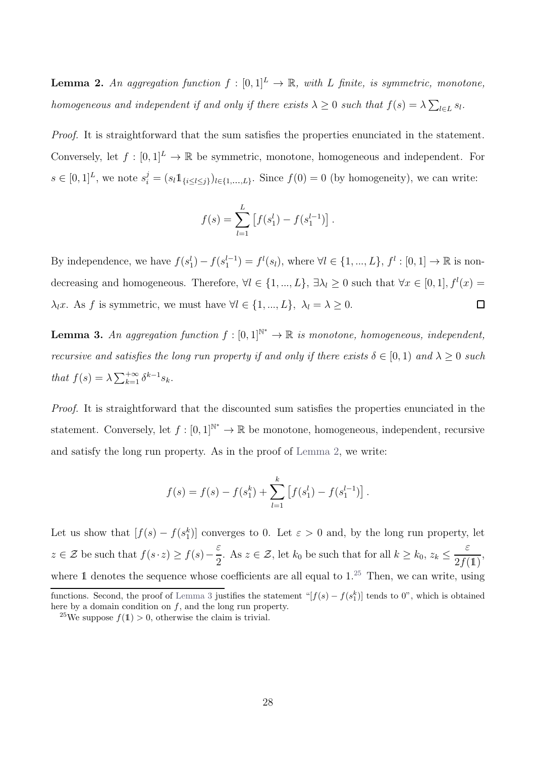<span id="page-27-0"></span>**Lemma 2.** An aggregation function  $f : [0,1]^L \to \mathbb{R}$ , with L finite, is symmetric, monotone, *homogeneous and independent if and only if there exists*  $\lambda \geq 0$  *such that*  $f(s) = \lambda \sum_{l \in L} s_l$ .

*Proof.* It is straightforward that the sum satisfies the properties enunciated in the statement. Conversely, let  $f : [0,1]^L \to \mathbb{R}$  be symmetric, monotone, homogeneous and independent. For  $s \in [0,1]^L$ , we note  $s_i^j = (s_i 1\!\!1_{\{i \leq l \leq j\}})_{l \in \{1,\ldots,L\}}$ . Since  $f(0) = 0$  (by homogeneity), we can write:

$$
f(s) = \sum_{l=1}^{L} \left[ f(s_1^l) - f(s_1^{l-1}) \right].
$$

By independence, we have  $f(s_1^l) - f(s_1^{l-1}) = f^l(s_l)$ , where  $\forall l \in \{1, ..., L\}$ ,  $f^l : [0, 1] \to \mathbb{R}$  is nondecreasing and homogeneous. Therefore,  $\forall l \in \{1, ..., L\}$ ,  $\exists \lambda_l \geq 0$  such that  $\forall x \in [0, 1]$ ,  $f^l(x) =$  $\lambda_l x$ . As f is symmetric, we must have  $\forall l \in \{1, ..., L\}, \lambda_l = \lambda \geq 0$ .  $\Box$ 

<span id="page-27-1"></span>**Lemma 3.** An aggregation function  $f : [0,1]^{N^*} \to \mathbb{R}$  is monotone, homogeneous, independent, *recursive and satisfies the long run property if and only if there exists*  $\delta \in [0,1)$  *and*  $\lambda \geq 0$  *such that*  $f(s) = \lambda \sum_{k=1}^{+\infty} \delta^{k-1} s_k$ .

*Proof.* It is straightforward that the discounted sum satisfies the properties enunciated in the statement. Conversely, let  $f : [0, 1]^{N^*} \to \mathbb{R}$  be monotone, homogeneous, independent, recursive and satisfy the long run property. As in the proof of [Lemma 2,](#page-27-0) we write:

$$
f(s) = f(s) - f(s_1^k) + \sum_{l=1}^k \left[ f(s_1^l) - f(s_1^{l-1}) \right].
$$

Let us show that  $[f(s) - f(s_1^k)]$  converges to 0. Let  $\varepsilon > 0$  and, by the long run property, let  $z \in \mathcal{Z}$  be such that  $f(s \cdot z) \geq f(s)$ ε  $\frac{1}{2}$ . As  $z \in \mathcal{Z}$ , let  $k_0$  be such that for all  $k \geq k_0$ ,  $z_k \leq$ ε  $\frac{1}{2f(1)},$ where 1 denotes the sequence whose coefficients are all equal to  $1.^{25}$  Then, we can write, using

functions. Second, the proof of [Lemma 3](#page-27-1) justifies the statement " $[f(s) - f(s_1^k)]$  tends to 0", which is obtained here by a domain condition on  $f$ , and the long run property.

<sup>&</sup>lt;sup>25</sup>We suppose  $f(1) > 0$ , otherwise the claim is trivial.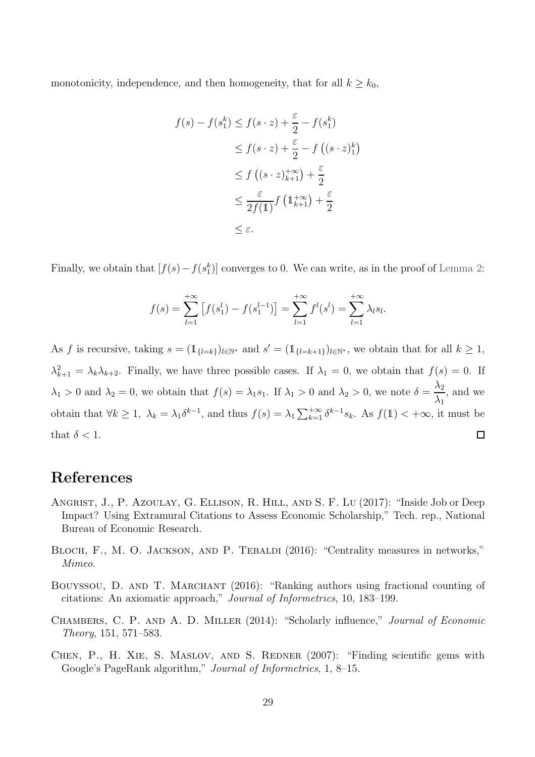monotonicity, independence, and then homogeneity, that for all  $k \geq k_0$ ,

$$
f(s) - f(s_1^k) \le f(s \cdot z) + \frac{\varepsilon}{2} - f(s_1^k)
$$
  
\n
$$
\le f(s \cdot z) + \frac{\varepsilon}{2} - f((s \cdot z)_1^k)
$$
  
\n
$$
\le f((s \cdot z)_{k+1}^+ + \frac{\varepsilon}{2})
$$
  
\n
$$
\le \frac{\varepsilon}{2f(1)} f(1_{k+1}^+ + \frac{\varepsilon}{2})
$$
  
\n
$$
\le \varepsilon.
$$

Finally, we obtain that  $[f(s) - f(s_1^k)]$  converges to 0. We can write, as in the proof of [Lemma 2:](#page-27-0)

$$
f(s) = \sum_{l=1}^{+\infty} \left[ f(s_1^l) - f(s_1^{l-1}) \right] = \sum_{l=1}^{+\infty} f^l(s^l) = \sum_{l=1}^{+\infty} \lambda_l s_l.
$$

As f is recursive, taking  $s = (\mathbb{1}_{\{l=k\}})_{l \in \mathbb{N}^*}$  and  $s' = (\mathbb{1}_{\{l=k+1\}})_{l \in \mathbb{N}^*}$ , we obtain that for all  $k \geq 1$ ,  $\lambda_{k+1}^2 = \lambda_k \lambda_{k+2}$ . Finally, we have three possible cases. If  $\lambda_1 = 0$ , we obtain that  $f(s) = 0$ . If  $\lambda_2$  $\lambda_1 > 0$  and  $\lambda_2 = 0$ , we obtain that  $f(s) = \lambda_1 s_1$ . If  $\lambda_1 > 0$  and  $\lambda_2 > 0$ , we note  $\delta =$ , and we  $\lambda_1$ obtain that  $\forall k \geq 1$ ,  $\lambda_k = \lambda_1 \delta^{k-1}$ , and thus  $f(s) = \lambda_1 \sum_{k=1}^{+\infty} \delta^{k-1} s_k$ . As  $f(1) < +\infty$ , it must be  $\Box$ that  $\delta$  < 1.

## References

- <span id="page-28-2"></span>ANGRIST, J., P. AZOULAY, G. ELLISON, R. HILL, AND S. F. LU (2017): "Inside Job or Deep Impact? Using Extramural Citations to Assess Economic Scholarship," Tech. rep., National Bureau of Economic Research.
- <span id="page-28-4"></span>BLOCH, F., M. O. JACKSON, AND P. TEBALDI (2016): "Centrality measures in networks," *Mimeo*.
- <span id="page-28-1"></span>BOUYSSOU, D. AND T. MARCHANT (2016): "Ranking authors using fractional counting of citations: An axiomatic approach," *Journal of Informetrics*, 10, 183–199.
- <span id="page-28-0"></span>Chambers, C. P. and A. D. Miller (2014): "Scholarly influence," *Journal of Economic Theory*, 151, 571–583.
- <span id="page-28-3"></span>CHEN, P., H. XIE, S. MASLOV, AND S. REDNER (2007): "Finding scientific gems with Google's PageRank algorithm," *Journal of Informetrics*, 1, 8–15.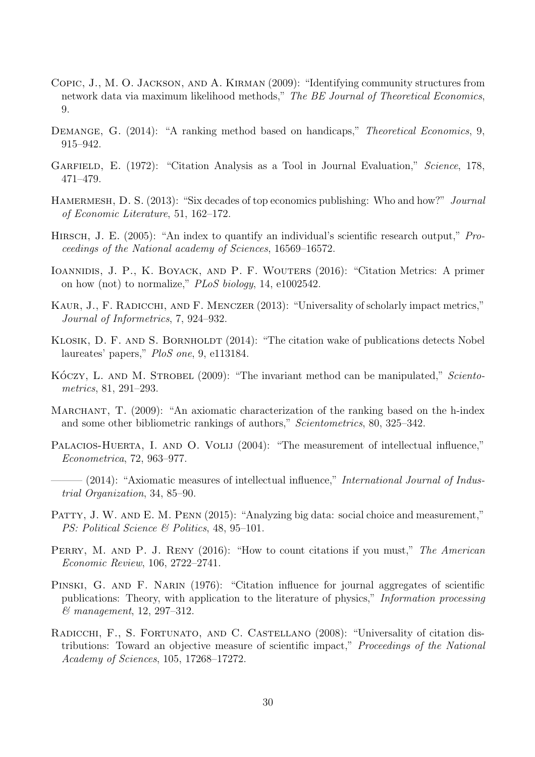- <span id="page-29-14"></span>COPIC, J., M. O. JACKSON, AND A. KIRMAN (2009): "Identifying community structures from network data via maximum likelihood methods," *The BE Journal of Theoretical Economics*, 9.
- <span id="page-29-10"></span>Demange, G. (2014): "A ranking method based on handicaps," *Theoretical Economics*, 9, 915–942.
- <span id="page-29-4"></span>Garfield, E. (1972): "Citation Analysis as a Tool in Journal Evaluation," *Science*, 178, 471–479.
- <span id="page-29-15"></span>HAMERMESH, D. S. (2013): "Six decades of top economics publishing: Who and how?" *Journal of Economic Literature*, 51, 162–172.
- <span id="page-29-1"></span>Hirsch, J. E. (2005): "An index to quantify an individual's scientific research output," *Proceedings of the National academy of Sciences*, 16569–16572.
- <span id="page-29-7"></span>Ioannidis, J. P., K. Boyack, and P. F. Wouters (2016): "Citation Metrics: A primer on how (not) to normalize," *PLoS biology*, 14, e1002542.
- <span id="page-29-13"></span>KAUR, J., F. RADICCHI, AND F. MENCZER (2013): "Universality of scholarly impact metrics," *Journal of Informetrics*, 7, 924–932.
- <span id="page-29-8"></span>KLOSIK, D. F. AND S. BORNHOLDT (2014): "The citation wake of publications detects Nobel laureates' papers," *PloS one*, 9, e113184.
- <span id="page-29-12"></span>KÓCZY, L. AND M. STROBEL (2009): "The invariant method can be manipulated," *Scientometrics*, 81, 291–293.
- <span id="page-29-6"></span>MARCHANT, T. (2009): "An axiomatic characterization of the ranking based on the h-index and some other bibliometric rankings of authors," *Scientometrics*, 80, 325–342.
- <span id="page-29-0"></span>PALACIOS-HUERTA, I. AND O. VOLIJ (2004): "The measurement of intellectual influence," *Econometrica*, 72, 963–977.
- <span id="page-29-11"></span> $-$  (2014): "Axiomatic measures of intellectual influence," *International Journal of Industrial Organization*, 34, 85–90.
- <span id="page-29-9"></span>PATTY, J. W. AND E. M. PENN (2015): "Analyzing big data: social choice and measurement," *PS: Political Science & Politics*, 48, 95–101.
- <span id="page-29-2"></span>Perry, M. and P. J. Reny (2016): "How to count citations if you must," *The American Economic Review*, 106, 2722–2741.
- <span id="page-29-5"></span>PINSKI, G. AND F. NARIN (1976): "Citation influence for journal aggregates of scientific publications: Theory, with application to the literature of physics," *Information processing & management*, 12, 297–312.
- <span id="page-29-3"></span>RADICCHI, F., S. FORTUNATO, AND C. CASTELLANO (2008): "Universality of citation distributions: Toward an objective measure of scientific impact," *Proceedings of the National Academy of Sciences*, 105, 17268–17272.